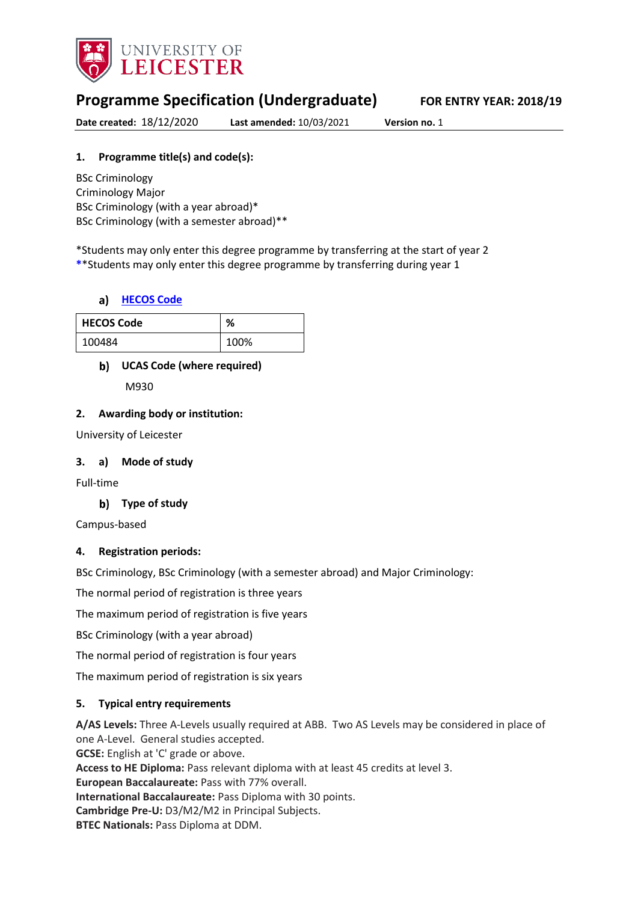

# **Programme Specification (Undergraduate) FOR ENTRY YEAR: 2018/19**

**Date created:** 18/12/2020 **Last amended:** 10/03/2021 **Version no.** 1

## **1. Programme title(s) and code(s):**

BSc Criminology Criminology Major BSc Criminology (with a year abroad)\* BSc Criminology (with a semester abroad)\*\*

\*Students may only enter this degree programme by transferring at the start of year 2 **\***\*Students may only enter this degree programme by transferring during year 1

#### **[HECOS Code](https://www.hesa.ac.uk/innovation/hecos)**

| <b>HECOS Code</b> | 0/<br>70 |
|-------------------|----------|
| 100484            | 100%     |

#### **UCAS Code (where required)**

M930

#### **2. Awarding body or institution:**

University of Leicester

#### **3. a) Mode of study**

Full-time

#### **Type of study**

Campus-based

#### **4. Registration periods:**

BSc Criminology, BSc Criminology (with a semester abroad) and Major Criminology:

The normal period of registration is three years

The maximum period of registration is five years

BSc Criminology (with a year abroad)

The normal period of registration is four years

The maximum period of registration is six years

#### **5. Typical entry requirements**

**A/AS Levels:** Three A-Levels usually required at ABB. Two AS Levels may be considered in place of one A-Level. General studies accepted. **GCSE:** English at 'C' grade or above. **Access to HE Diploma:** Pass relevant diploma with at least 45 credits at level 3. **European Baccalaureate:** Pass with 77% overall. **International Baccalaureate:** Pass Diploma with 30 points. **Cambridge Pre-U:** D3/M2/M2 in Principal Subjects. **BTEC Nationals:** Pass Diploma at DDM.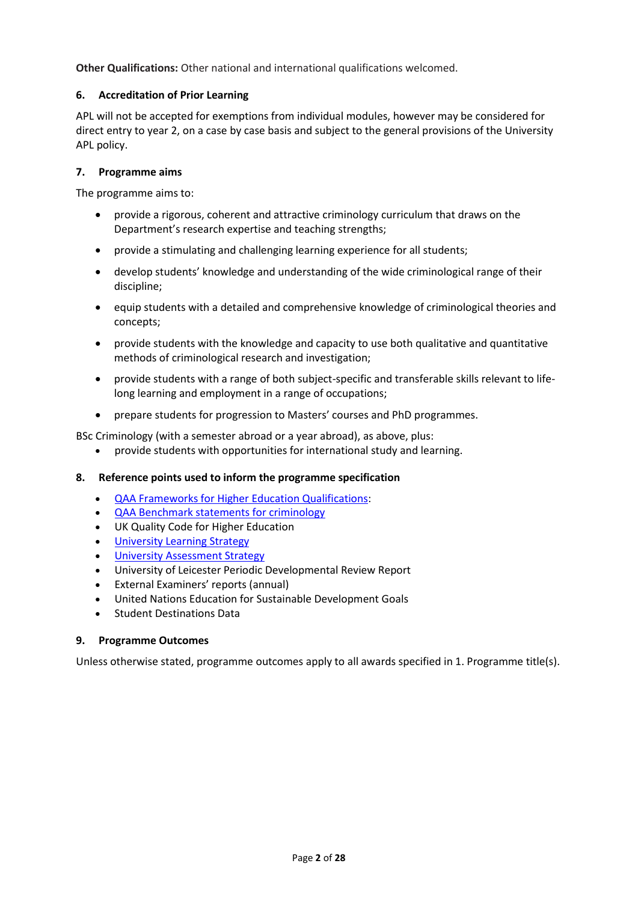**Other Qualifications:** Other national and international qualifications welcomed.

#### **6. Accreditation of Prior Learning**

APL will not be accepted for exemptions from individual modules, however may be considered for direct entry to year 2, on a case by case basis and subject to the general provisions of the University APL policy.

#### **7. Programme aims**

The programme aims to:

- provide a rigorous, coherent and attractive criminology curriculum that draws on the Department's research expertise and teaching strengths;
- provide a stimulating and challenging learning experience for all students;
- develop students' knowledge and understanding of the wide criminological range of their discipline;
- equip students with a detailed and comprehensive knowledge of criminological theories and concepts;
- provide students with the knowledge and capacity to use both qualitative and quantitative methods of criminological research and investigation;
- provide students with a range of both subject-specific and transferable skills relevant to lifelong learning and employment in a range of occupations;
- prepare students for progression to Masters' courses and PhD programmes.

BSc Criminology (with a semester abroad or a year abroad), as above, plus:

provide students with opportunities for international study and learning.

#### **8. Reference points used to inform the programme specification**

- [QAA Frameworks for Higher Education Qualifications:](http://www.qaa.ac.uk/en/Publications/Documents/qualifications-frameworks.pdf)
- [QAA Benchmark statements for criminology](http://www.qaa.ac.uk/en/Publications/Documents/SBS-criminology-14.pdf)
- UK Quality Code for Higher Education
- University Learnin[g Strategy](https://www2.le.ac.uk/offices/sas2/quality/learnteach)
- **[University Assessment Strategy](https://www2.le.ac.uk/offices/sas2/quality/learnteach)**
- University of Leicester Periodic Developmental Review Report
- External Examiners' reports (annual)
- United Nations Education for Sustainable Development Goals
- Student Destinations Data

#### **9. Programme Outcomes**

Unless otherwise stated, programme outcomes apply to all awards specified in 1. Programme title(s).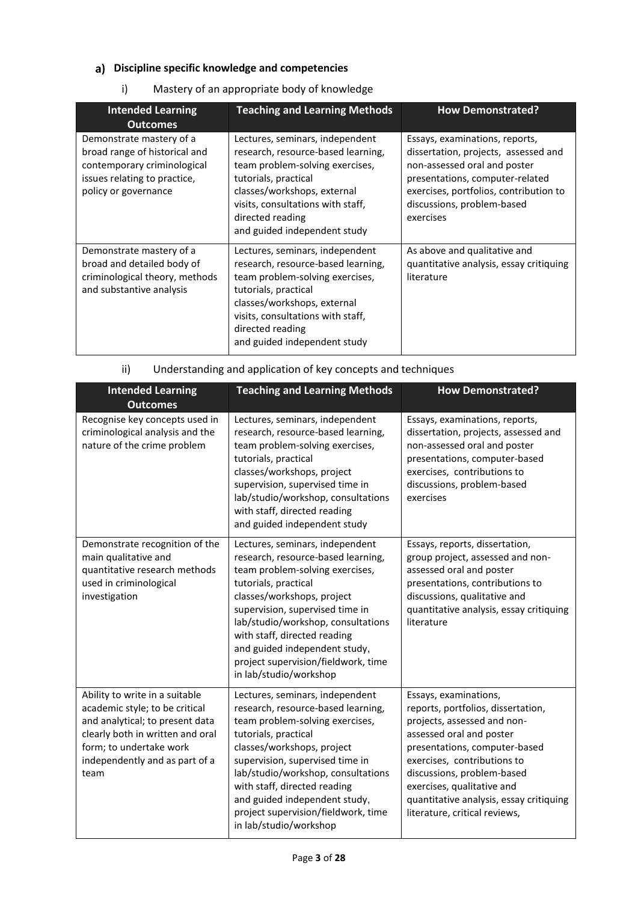# **Discipline specific knowledge and competencies**

#### i) Mastery of an appropriate body of knowledge

| <b>Intended Learning</b><br><b>Outcomes</b>                                                                                                      | <b>Teaching and Learning Methods</b>                                                                                                                                                                                                                     | <b>How Demonstrated?</b>                                                                                                                                                                                                       |
|--------------------------------------------------------------------------------------------------------------------------------------------------|----------------------------------------------------------------------------------------------------------------------------------------------------------------------------------------------------------------------------------------------------------|--------------------------------------------------------------------------------------------------------------------------------------------------------------------------------------------------------------------------------|
| Demonstrate mastery of a<br>broad range of historical and<br>contemporary criminological<br>issues relating to practice,<br>policy or governance | Lectures, seminars, independent<br>research, resource-based learning,<br>team problem-solving exercises,<br>tutorials, practical<br>classes/workshops, external<br>visits, consultations with staff,<br>directed reading<br>and guided independent study | Essays, examinations, reports,<br>dissertation, projects, assessed and<br>non-assessed oral and poster<br>presentations, computer-related<br>exercises, portfolios, contribution to<br>discussions, problem-based<br>exercises |
| Demonstrate mastery of a<br>broad and detailed body of<br>criminological theory, methods<br>and substantive analysis                             | Lectures, seminars, independent<br>research, resource-based learning,<br>team problem-solving exercises,<br>tutorials, practical<br>classes/workshops, external<br>visits, consultations with staff,<br>directed reading<br>and guided independent study | As above and qualitative and<br>quantitative analysis, essay critiquing<br>literature                                                                                                                                          |

| <b>Intended Learning</b>                                          | <b>Teaching and Learning Methods</b>                                  | <b>How Demonstrated?</b>                                               |
|-------------------------------------------------------------------|-----------------------------------------------------------------------|------------------------------------------------------------------------|
| <b>Outcomes</b>                                                   |                                                                       |                                                                        |
| Recognise key concepts used in<br>criminological analysis and the | Lectures, seminars, independent<br>research, resource-based learning, | Essays, examinations, reports,<br>dissertation, projects, assessed and |
| nature of the crime problem                                       | team problem-solving exercises,                                       | non-assessed oral and poster                                           |
|                                                                   | tutorials, practical                                                  | presentations, computer-based                                          |
|                                                                   | classes/workshons project                                             | exercises contributions to                                             |

#### ii) Understanding and application of key concepts and techniques

|                                                                                                                                                                                                              | tutorials, practical<br>classes/workshops, project<br>supervision, supervised time in<br>lab/studio/workshop, consultations<br>with staff, directed reading<br>and guided independent study                                                                                                                                                                               | presentations, computer-based<br>exercises, contributions to<br>discussions, problem-based<br>exercises                                                                                                                                                                                                                        |
|--------------------------------------------------------------------------------------------------------------------------------------------------------------------------------------------------------------|---------------------------------------------------------------------------------------------------------------------------------------------------------------------------------------------------------------------------------------------------------------------------------------------------------------------------------------------------------------------------|--------------------------------------------------------------------------------------------------------------------------------------------------------------------------------------------------------------------------------------------------------------------------------------------------------------------------------|
| Demonstrate recognition of the<br>main qualitative and<br>quantitative research methods<br>used in criminological<br>investigation                                                                           | Lectures, seminars, independent<br>research, resource-based learning,<br>team problem-solving exercises,<br>tutorials, practical<br>classes/workshops, project<br>supervision, supervised time in<br>lab/studio/workshop, consultations<br>with staff, directed reading<br>and guided independent study,<br>project supervision/fieldwork, time<br>in lab/studio/workshop | Essays, reports, dissertation,<br>group project, assessed and non-<br>assessed oral and poster<br>presentations, contributions to<br>discussions, qualitative and<br>quantitative analysis, essay critiquing<br>literature                                                                                                     |
| Ability to write in a suitable<br>academic style; to be critical<br>and analytical; to present data<br>clearly both in written and oral<br>form; to undertake work<br>independently and as part of a<br>team | Lectures, seminars, independent<br>research, resource-based learning,<br>team problem-solving exercises,<br>tutorials, practical<br>classes/workshops, project<br>supervision, supervised time in<br>lab/studio/workshop, consultations<br>with staff, directed reading<br>and guided independent study,<br>project supervision/fieldwork, time<br>in lab/studio/workshop | Essays, examinations,<br>reports, portfolios, dissertation,<br>projects, assessed and non-<br>assessed oral and poster<br>presentations, computer-based<br>exercises, contributions to<br>discussions, problem-based<br>exercises, qualitative and<br>quantitative analysis, essay critiquing<br>literature, critical reviews, |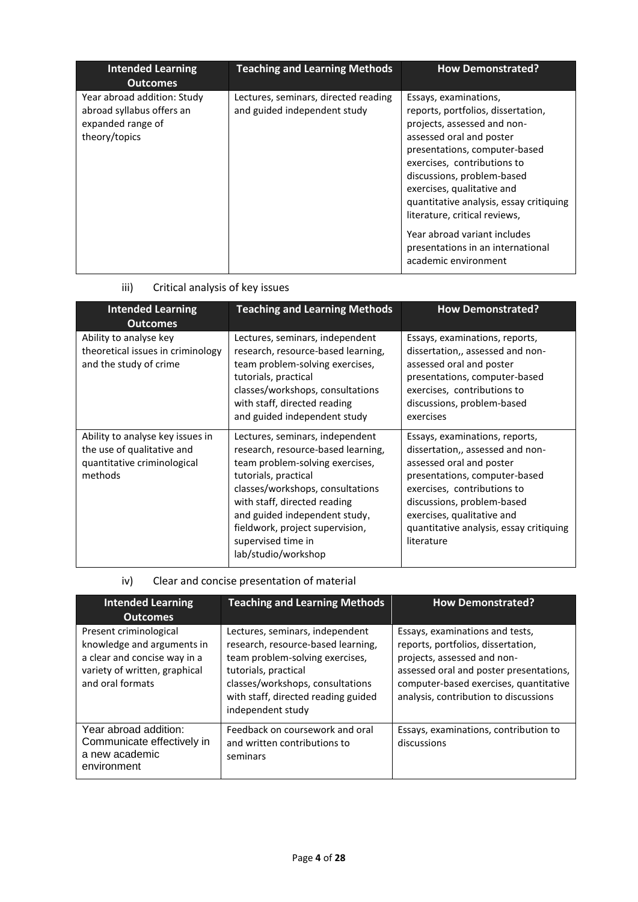| <b>Intended Learning</b><br><b>Outcomes</b>                                                    | <b>Teaching and Learning Methods</b>                                 | <b>How Demonstrated?</b>                                                                                                                                                                                                                                                                                                                                                                                                    |
|------------------------------------------------------------------------------------------------|----------------------------------------------------------------------|-----------------------------------------------------------------------------------------------------------------------------------------------------------------------------------------------------------------------------------------------------------------------------------------------------------------------------------------------------------------------------------------------------------------------------|
| Year abroad addition: Study<br>abroad syllabus offers an<br>expanded range of<br>theory/topics | Lectures, seminars, directed reading<br>and guided independent study | Essays, examinations,<br>reports, portfolios, dissertation,<br>projects, assessed and non-<br>assessed oral and poster<br>presentations, computer-based<br>exercises, contributions to<br>discussions, problem-based<br>exercises, qualitative and<br>quantitative analysis, essay critiquing<br>literature, critical reviews,<br>Year abroad variant includes<br>presentations in an international<br>academic environment |

iii) Critical analysis of key issues

| <b>Intended Learning</b><br><b>Outcomes</b>                                                              | <b>Teaching and Learning Methods</b>                                                                                                                                                                                                                                                                                  | <b>How Demonstrated?</b>                                                                                                                                                                                                                                                            |
|----------------------------------------------------------------------------------------------------------|-----------------------------------------------------------------------------------------------------------------------------------------------------------------------------------------------------------------------------------------------------------------------------------------------------------------------|-------------------------------------------------------------------------------------------------------------------------------------------------------------------------------------------------------------------------------------------------------------------------------------|
| Ability to analyse key<br>theoretical issues in criminology<br>and the study of crime                    | Lectures, seminars, independent<br>research, resource-based learning,<br>team problem-solving exercises,<br>tutorials, practical<br>classes/workshops, consultations<br>with staff, directed reading<br>and guided independent study                                                                                  | Essays, examinations, reports,<br>dissertation,, assessed and non-<br>assessed oral and poster<br>presentations, computer-based<br>exercises, contributions to<br>discussions, problem-based<br>exercises                                                                           |
| Ability to analyse key issues in<br>the use of qualitative and<br>quantitative criminological<br>methods | Lectures, seminars, independent<br>research, resource-based learning,<br>team problem-solving exercises,<br>tutorials, practical<br>classes/workshops, consultations<br>with staff, directed reading<br>and guided independent study,<br>fieldwork, project supervision,<br>supervised time in<br>lab/studio/workshop | Essays, examinations, reports,<br>dissertation,, assessed and non-<br>assessed oral and poster<br>presentations, computer-based<br>exercises, contributions to<br>discussions, problem-based<br>exercises, qualitative and<br>quantitative analysis, essay critiquing<br>literature |

iv) Clear and concise presentation of material

| <b>Intended Learning</b><br><b>Outcomes</b>                                                                                               | <b>Teaching and Learning Methods</b>                                                                                                                                                                                             | <b>How Demonstrated?</b>                                                                                                                                                                                                           |
|-------------------------------------------------------------------------------------------------------------------------------------------|----------------------------------------------------------------------------------------------------------------------------------------------------------------------------------------------------------------------------------|------------------------------------------------------------------------------------------------------------------------------------------------------------------------------------------------------------------------------------|
| Present criminological<br>knowledge and arguments in<br>a clear and concise way in a<br>variety of written, graphical<br>and oral formats | Lectures, seminars, independent<br>research, resource-based learning,<br>team problem-solving exercises,<br>tutorials, practical<br>classes/workshops, consultations<br>with staff, directed reading guided<br>independent study | Essays, examinations and tests,<br>reports, portfolios, dissertation,<br>projects, assessed and non-<br>assessed oral and poster presentations,<br>computer-based exercises, quantitative<br>analysis, contribution to discussions |
| Year abroad addition:<br>Communicate effectively in<br>a new academic<br>environment                                                      | Feedback on coursework and oral<br>and written contributions to<br>seminars                                                                                                                                                      | Essays, examinations, contribution to<br>discussions                                                                                                                                                                               |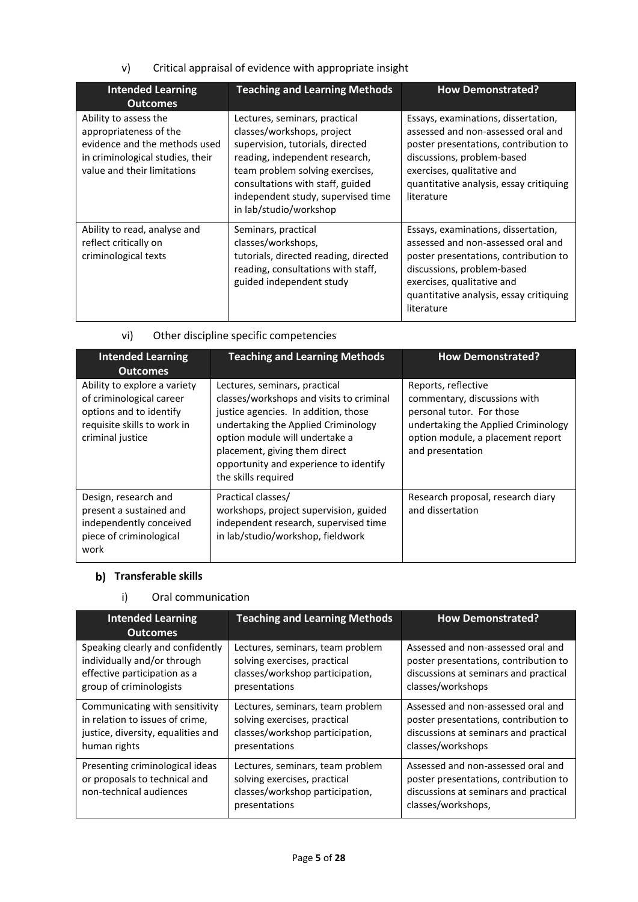v) Critical appraisal of evidence with appropriate insight

| <b>Intended Learning</b><br><b>Outcomes</b>                                                                                                         | <b>Teaching and Learning Methods</b>                                                                                                                                                                                                                                     | <b>How Demonstrated?</b>                                                                                                                                                                                                                |
|-----------------------------------------------------------------------------------------------------------------------------------------------------|--------------------------------------------------------------------------------------------------------------------------------------------------------------------------------------------------------------------------------------------------------------------------|-----------------------------------------------------------------------------------------------------------------------------------------------------------------------------------------------------------------------------------------|
| Ability to assess the<br>appropriateness of the<br>evidence and the methods used<br>in criminological studies, their<br>value and their limitations | Lectures, seminars, practical<br>classes/workshops, project<br>supervision, tutorials, directed<br>reading, independent research,<br>team problem solving exercises,<br>consultations with staff, guided<br>independent study, supervised time<br>in lab/studio/workshop | Essays, examinations, dissertation,<br>assessed and non-assessed oral and<br>poster presentations, contribution to<br>discussions, problem-based<br>exercises, qualitative and<br>quantitative analysis, essay critiquing<br>literature |
| Ability to read, analyse and<br>reflect critically on<br>criminological texts                                                                       | Seminars, practical<br>classes/workshops,<br>tutorials, directed reading, directed<br>reading, consultations with staff,<br>guided independent study                                                                                                                     | Essays, examinations, dissertation,<br>assessed and non-assessed oral and<br>poster presentations, contribution to<br>discussions, problem-based<br>exercises, qualitative and<br>quantitative analysis, essay critiquing<br>literature |

vi) Other discipline specific competencies

| <b>Intended Learning</b><br><b>Outcomes</b>                                                                                            | <b>Teaching and Learning Methods</b>                                                                                                                                                                                                                                                         | <b>How Demonstrated?</b>                                                                                                                                                         |
|----------------------------------------------------------------------------------------------------------------------------------------|----------------------------------------------------------------------------------------------------------------------------------------------------------------------------------------------------------------------------------------------------------------------------------------------|----------------------------------------------------------------------------------------------------------------------------------------------------------------------------------|
| Ability to explore a variety<br>of criminological career<br>options and to identify<br>requisite skills to work in<br>criminal justice | Lectures, seminars, practical<br>classes/workshops and visits to criminal<br>justice agencies. In addition, those<br>undertaking the Applied Criminology<br>option module will undertake a<br>placement, giving them direct<br>opportunity and experience to identify<br>the skills required | Reports, reflective<br>commentary, discussions with<br>personal tutor. For those<br>undertaking the Applied Criminology<br>option module, a placement report<br>and presentation |
| Design, research and<br>present a sustained and<br>independently conceived<br>piece of criminological<br>work                          | Practical classes/<br>workshops, project supervision, guided<br>independent research, supervised time<br>in lab/studio/workshop, fieldwork                                                                                                                                                   | Research proposal, research diary<br>and dissertation                                                                                                                            |

# **b)** Transferable skills

## i) Oral communication

| <b>Intended Learning</b><br><b>Outcomes</b>                                                 | <b>Teaching and Learning Methods</b>                                                                                 | <b>How Demonstrated?</b>                                                                                                                   |
|---------------------------------------------------------------------------------------------|----------------------------------------------------------------------------------------------------------------------|--------------------------------------------------------------------------------------------------------------------------------------------|
| Speaking clearly and confidently                                                            | Lectures, seminars, team problem                                                                                     | Assessed and non-assessed oral and                                                                                                         |
| individually and/or through                                                                 | solving exercises, practical                                                                                         | poster presentations, contribution to                                                                                                      |
| effective participation as a                                                                | classes/workshop participation,                                                                                      | discussions at seminars and practical                                                                                                      |
| group of criminologists                                                                     | presentations                                                                                                        | classes/workshops                                                                                                                          |
| Communicating with sensitivity                                                              | Lectures, seminars, team problem                                                                                     | Assessed and non-assessed oral and                                                                                                         |
| in relation to issues of crime,                                                             | solving exercises, practical                                                                                         | poster presentations, contribution to                                                                                                      |
| justice, diversity, equalities and                                                          | classes/workshop participation,                                                                                      | discussions at seminars and practical                                                                                                      |
| human rights                                                                                | presentations                                                                                                        | classes/workshops                                                                                                                          |
| Presenting criminological ideas<br>or proposals to technical and<br>non-technical audiences | Lectures, seminars, team problem<br>solving exercises, practical<br>classes/workshop participation,<br>presentations | Assessed and non-assessed oral and<br>poster presentations, contribution to<br>discussions at seminars and practical<br>classes/workshops, |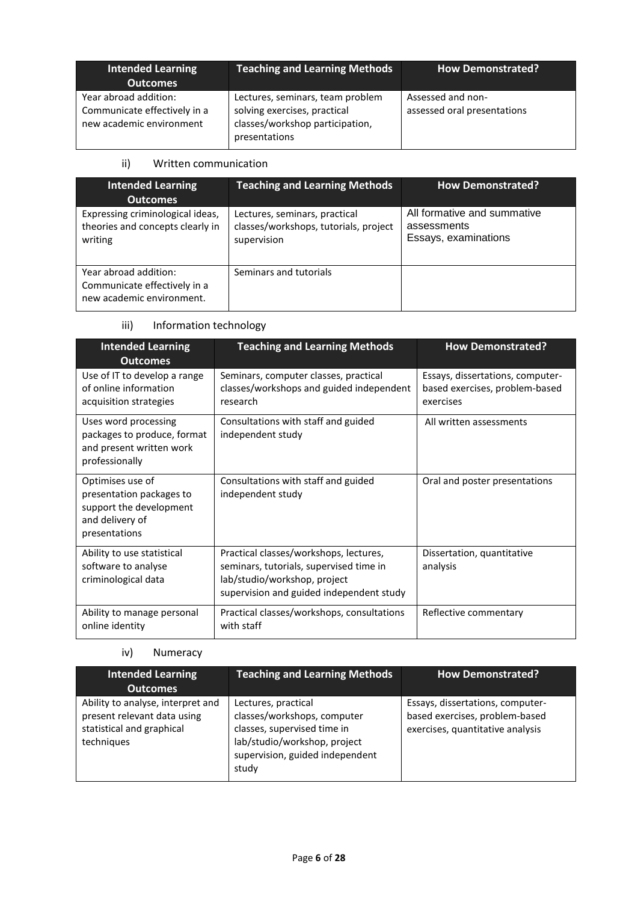| <b>Intended Learning</b><br><b>Outcomes</b>                                       | <b>Teaching and Learning Methods</b>                                                                                 | <b>How Demonstrated?</b>                         |
|-----------------------------------------------------------------------------------|----------------------------------------------------------------------------------------------------------------------|--------------------------------------------------|
| Year abroad addition:<br>Communicate effectively in a<br>new academic environment | Lectures, seminars, team problem<br>solving exercises, practical<br>classes/workshop participation,<br>presentations | Assessed and non-<br>assessed oral presentations |

#### ii) Written communication

| <b>Intended Learning</b><br><b>Outcomes</b>                                        | <b>Teaching and Learning Methods</b>                                                  | <b>How Demonstrated?</b>                                           |
|------------------------------------------------------------------------------------|---------------------------------------------------------------------------------------|--------------------------------------------------------------------|
| Expressing criminological ideas,<br>theories and concepts clearly in<br>writing    | Lectures, seminars, practical<br>classes/workshops, tutorials, project<br>supervision | All formative and summative<br>assessments<br>Essays, examinations |
| Year abroad addition:<br>Communicate effectively in a<br>new academic environment. | Seminars and tutorials                                                                |                                                                    |

# iii) Information technology

| <b>Intended Learning</b><br><b>Outcomes</b>                                                                 | <b>Teaching and Learning Methods</b>                                                                                                                          | <b>How Demonstrated?</b>                                                        |
|-------------------------------------------------------------------------------------------------------------|---------------------------------------------------------------------------------------------------------------------------------------------------------------|---------------------------------------------------------------------------------|
| Use of IT to develop a range<br>of online information<br>acquisition strategies                             | Seminars, computer classes, practical<br>classes/workshops and guided independent<br>research                                                                 | Essays, dissertations, computer-<br>based exercises, problem-based<br>exercises |
| Uses word processing<br>packages to produce, format<br>and present written work<br>professionally           | Consultations with staff and guided<br>independent study                                                                                                      | All written assessments                                                         |
| Optimises use of<br>presentation packages to<br>support the development<br>and delivery of<br>presentations | Consultations with staff and guided<br>independent study                                                                                                      | Oral and poster presentations                                                   |
| Ability to use statistical<br>software to analyse<br>criminological data                                    | Practical classes/workshops, lectures,<br>seminars, tutorials, supervised time in<br>lab/studio/workshop, project<br>supervision and guided independent study | Dissertation, quantitative<br>analysis                                          |
| Ability to manage personal<br>online identity                                                               | Practical classes/workshops, consultations<br>with staff                                                                                                      | Reflective commentary                                                           |

# iv) Numeracy

| <b>Intended Learning</b>                                                                                    | <b>Teaching and Learning Methods</b>                                                                                                                          | <b>How Demonstrated?</b>                                                                               |  |
|-------------------------------------------------------------------------------------------------------------|---------------------------------------------------------------------------------------------------------------------------------------------------------------|--------------------------------------------------------------------------------------------------------|--|
| <b>Outcomes</b>                                                                                             |                                                                                                                                                               |                                                                                                        |  |
| Ability to analyse, interpret and<br>present relevant data using<br>statistical and graphical<br>techniques | Lectures, practical<br>classes/workshops, computer<br>classes, supervised time in<br>lab/studio/workshop, project<br>supervision, guided independent<br>study | Essays, dissertations, computer-<br>based exercises, problem-based<br>exercises, quantitative analysis |  |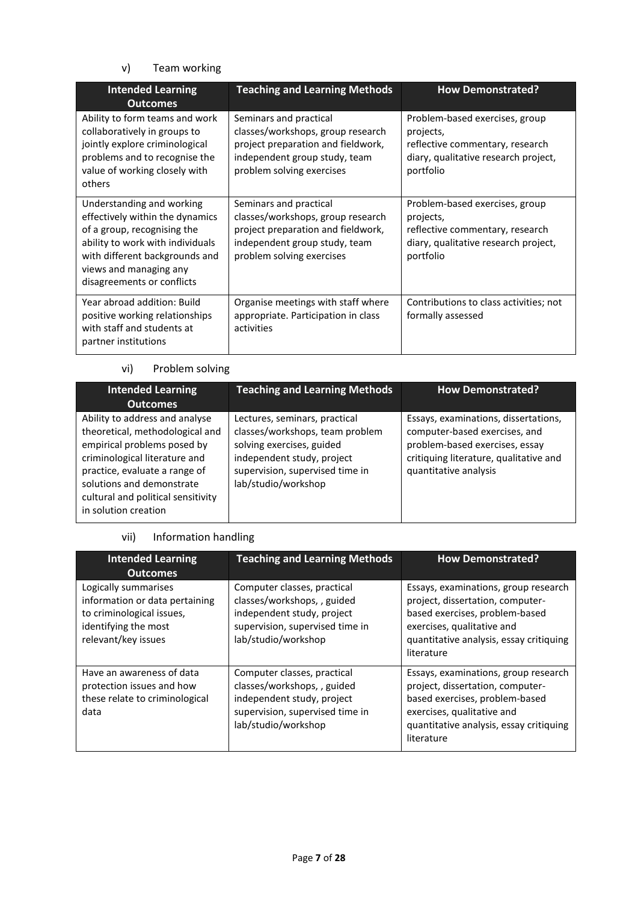# v) Team working

| <b>Intended Learning</b><br><b>Outcomes</b>                                                                                                                                                                               | <b>Teaching and Learning Methods</b><br><b>How Demonstrated?</b>                                                                                                |                                                                                                                                     |
|---------------------------------------------------------------------------------------------------------------------------------------------------------------------------------------------------------------------------|-----------------------------------------------------------------------------------------------------------------------------------------------------------------|-------------------------------------------------------------------------------------------------------------------------------------|
| Ability to form teams and work<br>collaboratively in groups to<br>jointly explore criminological<br>problems and to recognise the<br>value of working closely with<br>others                                              | Seminars and practical<br>classes/workshops, group research<br>project preparation and fieldwork,<br>independent group study, team<br>problem solving exercises | Problem-based exercises, group<br>projects,<br>reflective commentary, research<br>diary, qualitative research project,<br>portfolio |
| Understanding and working<br>effectively within the dynamics<br>of a group, recognising the<br>ability to work with individuals<br>with different backgrounds and<br>views and managing any<br>disagreements or conflicts | Seminars and practical<br>classes/workshops, group research<br>project preparation and fieldwork,<br>independent group study, team<br>problem solving exercises | Problem-based exercises, group<br>projects,<br>reflective commentary, research<br>diary, qualitative research project,<br>portfolio |
| Year abroad addition: Build<br>positive working relationships<br>with staff and students at<br>partner institutions                                                                                                       | Organise meetings with staff where<br>appropriate. Participation in class<br>activities                                                                         | Contributions to class activities; not<br>formally assessed                                                                         |

#### vi) Problem solving

| <b>Intended Learning</b>                                                                                                                                  | <b>Teaching and Learning Methods</b>                                                          | <b>How Demonstrated?</b>                                                                                |
|-----------------------------------------------------------------------------------------------------------------------------------------------------------|-----------------------------------------------------------------------------------------------|---------------------------------------------------------------------------------------------------------|
| <b>Outcomes</b><br>Ability to address and analyse<br>theoretical, methodological and<br>empirical problems posed by                                       | Lectures, seminars, practical<br>classes/workshops, team problem<br>solving exercises, guided | Essays, examinations, dissertations,<br>computer-based exercises, and<br>problem-based exercises, essay |
| criminological literature and<br>practice, evaluate a range of<br>solutions and demonstrate<br>cultural and political sensitivity<br>in solution creation | independent study, project<br>supervision, supervised time in<br>lab/studio/workshop          | critiquing literature, qualitative and<br>quantitative analysis                                         |

# vii) Information handling

| <b>Intended Learning</b><br><b>Outcomes</b>                                                                                        | <b>Teaching and Learning Methods</b>                                                                                                               | <b>How Demonstrated?</b>                                                                                                                                                                          |
|------------------------------------------------------------------------------------------------------------------------------------|----------------------------------------------------------------------------------------------------------------------------------------------------|---------------------------------------------------------------------------------------------------------------------------------------------------------------------------------------------------|
| Logically summarises<br>information or data pertaining<br>to criminological issues,<br>identifying the most<br>relevant/key issues | Computer classes, practical<br>classes/workshops, , guided<br>independent study, project<br>supervision, supervised time in<br>lab/studio/workshop | Essays, examinations, group research<br>project, dissertation, computer-<br>based exercises, problem-based<br>exercises, qualitative and<br>quantitative analysis, essay critiquing<br>literature |
| Have an awareness of data<br>protection issues and how<br>these relate to criminological<br>data                                   | Computer classes, practical<br>classes/workshops, , guided<br>independent study, project<br>supervision, supervised time in<br>lab/studio/workshop | Essays, examinations, group research<br>project, dissertation, computer-<br>based exercises, problem-based<br>exercises, qualitative and<br>quantitative analysis, essay critiquing<br>literature |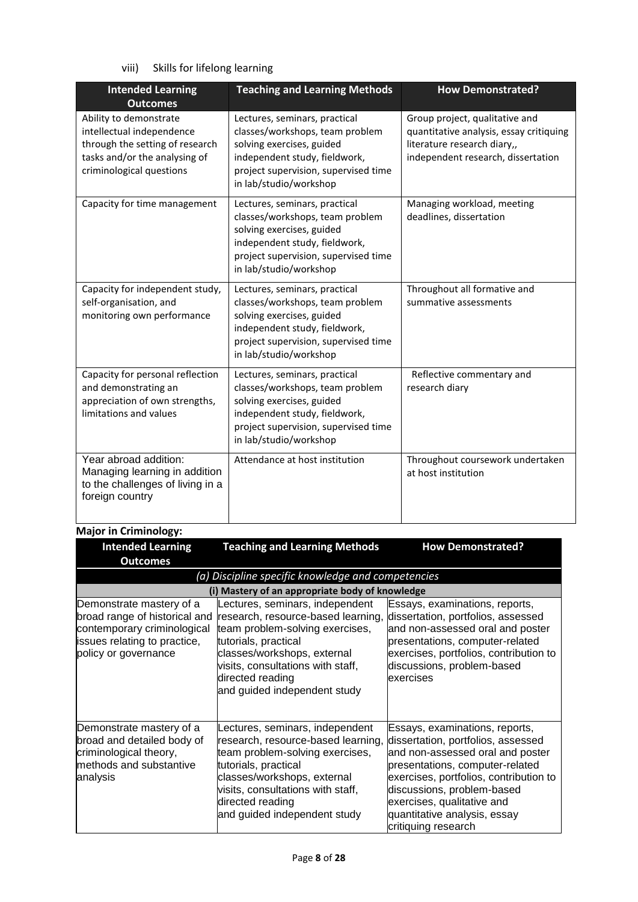viii) Skills for lifelong learning

| <b>Intended Learning</b><br><b>Outcomes</b>                                                                                                         | <b>Teaching and Learning Methods</b>                                                                                                                                                             | <b>How Demonstrated?</b>                                                                                                                       |  |
|-----------------------------------------------------------------------------------------------------------------------------------------------------|--------------------------------------------------------------------------------------------------------------------------------------------------------------------------------------------------|------------------------------------------------------------------------------------------------------------------------------------------------|--|
| Ability to demonstrate<br>intellectual independence<br>through the setting of research<br>tasks and/or the analysing of<br>criminological questions | Lectures, seminars, practical<br>classes/workshops, team problem<br>solving exercises, guided<br>independent study, fieldwork,<br>project supervision, supervised time<br>in lab/studio/workshop | Group project, qualitative and<br>quantitative analysis, essay critiquing<br>literature research diary,,<br>independent research, dissertation |  |
| Capacity for time management                                                                                                                        | Lectures, seminars, practical<br>classes/workshops, team problem<br>solving exercises, guided<br>independent study, fieldwork,<br>project supervision, supervised time<br>in lab/studio/workshop | Managing workload, meeting<br>deadlines, dissertation                                                                                          |  |
| Capacity for independent study,<br>self-organisation, and<br>monitoring own performance                                                             | Lectures, seminars, practical<br>classes/workshops, team problem<br>solving exercises, guided<br>independent study, fieldwork,<br>project supervision, supervised time<br>in lab/studio/workshop | Throughout all formative and<br>summative assessments                                                                                          |  |
| Capacity for personal reflection<br>and demonstrating an<br>appreciation of own strengths,<br>limitations and values                                | Lectures, seminars, practical<br>classes/workshops, team problem<br>solving exercises, guided<br>independent study, fieldwork,<br>project supervision, supervised time<br>in lab/studio/workshop | Reflective commentary and<br>research diary                                                                                                    |  |
| Year abroad addition:<br>Managing learning in addition<br>to the challenges of living in a<br>foreign country                                       | Attendance at host institution                                                                                                                                                                   | Throughout coursework undertaken<br>at host institution                                                                                        |  |

# **Major in Criminology:**

| <b>Intended Learning</b>                                                                                                                         | <b>Teaching and Learning Methods</b>                                                                                                                                                                                                                     | <b>How Demonstrated?</b>                                                                                                                                                                                                                                                                                 |
|--------------------------------------------------------------------------------------------------------------------------------------------------|----------------------------------------------------------------------------------------------------------------------------------------------------------------------------------------------------------------------------------------------------------|----------------------------------------------------------------------------------------------------------------------------------------------------------------------------------------------------------------------------------------------------------------------------------------------------------|
| <b>Outcomes</b>                                                                                                                                  |                                                                                                                                                                                                                                                          |                                                                                                                                                                                                                                                                                                          |
|                                                                                                                                                  | (a) Discipline specific knowledge and competencies                                                                                                                                                                                                       |                                                                                                                                                                                                                                                                                                          |
|                                                                                                                                                  | (i) Mastery of an appropriate body of knowledge                                                                                                                                                                                                          |                                                                                                                                                                                                                                                                                                          |
| Demonstrate mastery of a<br>broad range of historical and<br>contemporary criminological<br>issues relating to practice,<br>policy or governance | Lectures, seminars, independent<br>research, resource-based learning,<br>team problem-solving exercises,<br>tutorials, practical<br>classes/workshops, external<br>visits, consultations with staff,<br>directed reading<br>and guided independent study | Essays, examinations, reports,<br>dissertation, portfolios, assessed<br>and non-assessed oral and poster<br>presentations, computer-related<br>exercises, portfolios, contribution to<br>discussions, problem-based<br>lexercises                                                                        |
| Demonstrate mastery of a<br>broad and detailed body of<br>criminological theory,<br>methods and substantive<br>analysis                          | Lectures, seminars, independent<br>research, resource-based learning,<br>team problem-solving exercises,<br>tutorials, practical<br>classes/workshops, external<br>visits, consultations with staff,<br>directed reading<br>and guided independent study | Essays, examinations, reports,<br>dissertation, portfolios, assessed<br>and non-assessed oral and poster<br>presentations, computer-related<br>exercises, portfolios, contribution to<br>discussions, problem-based<br>exercises, qualitative and<br>quantitative analysis, essay<br>critiquing research |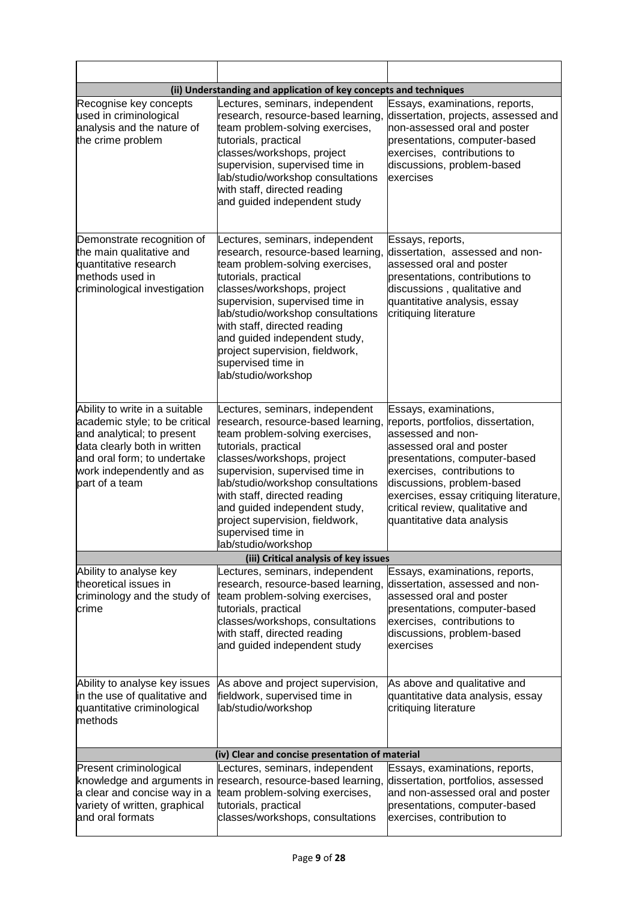| (ii) Understanding and application of key concepts and techniques                                                                                                                                            |                                                                                                                                                                                                                                                                                                                                                                                         |                                                                                                                                                                                                                                                                                                                         |  |
|--------------------------------------------------------------------------------------------------------------------------------------------------------------------------------------------------------------|-----------------------------------------------------------------------------------------------------------------------------------------------------------------------------------------------------------------------------------------------------------------------------------------------------------------------------------------------------------------------------------------|-------------------------------------------------------------------------------------------------------------------------------------------------------------------------------------------------------------------------------------------------------------------------------------------------------------------------|--|
| Recognise key concepts<br>used in criminological<br>analysis and the nature of<br>the crime problem                                                                                                          | Lectures, seminars, independent<br>research, resource-based learning,<br>team problem-solving exercises,<br>tutorials, practical<br>classes/workshops, project<br>supervision, supervised time in<br>lab/studio/workshop consultations<br>with staff, directed reading<br>and guided independent study                                                                                  | Essays, examinations, reports,<br>dissertation, projects, assessed and<br>non-assessed oral and poster<br>presentations, computer-based<br>exercises, contributions to<br>discussions, problem-based<br>exercises                                                                                                       |  |
| Demonstrate recognition of<br>the main qualitative and<br>quantitative research<br>methods used in<br>criminological investigation                                                                           | Lectures, seminars, independent<br>research, resource-based learning,<br>team problem-solving exercises,<br>tutorials, practical<br>classes/workshops, project<br>supervision, supervised time in<br>lab/studio/workshop consultations<br>with staff, directed reading<br>and guided independent study,<br>project supervision, fieldwork,<br>supervised time in<br>lab/studio/workshop | Essays, reports,<br>dissertation, assessed and non-<br>assessed oral and poster<br>presentations, contributions to<br>discussions, qualitative and<br>quantitative analysis, essay<br>critiquing literature                                                                                                             |  |
| Ability to write in a suitable<br>academic style; to be critical<br>and analytical; to present<br>data clearly both in written<br>and oral form; to undertake<br>work independently and as<br>part of a team | Lectures, seminars, independent<br>research, resource-based learning,<br>team problem-solving exercises,<br>tutorials, practical<br>classes/workshops, project<br>supervision, supervised time in<br>lab/studio/workshop consultations<br>with staff, directed reading<br>and guided independent study,<br>project supervision, fieldwork,<br>supervised time in<br>lab/studio/workshop | Essays, examinations,<br>reports, portfolios, dissertation,<br>assessed and non-<br>assessed oral and poster<br>presentations, computer-based<br>exercises, contributions to<br>discussions, problem-based<br>exercises, essay critiquing literature,<br>critical review, qualitative and<br>quantitative data analysis |  |
|                                                                                                                                                                                                              | (iii) Critical analysis of key issues                                                                                                                                                                                                                                                                                                                                                   |                                                                                                                                                                                                                                                                                                                         |  |
| Ability to analyse key<br>theoretical issues in<br>criminology and the study of<br>crime                                                                                                                     | Lectures, seminars, independent<br>research, resource-based learning,<br>team problem-solving exercises,<br>tutorials, practical<br>classes/workshops, consultations<br>with staff, directed reading<br>and guided independent study                                                                                                                                                    | Essays, examinations, reports,<br>dissertation, assessed and non-<br>assessed oral and poster<br>presentations, computer-based<br>exercises, contributions to<br>discussions, problem-based<br>exercises                                                                                                                |  |
| Ability to analyse key issues<br>in the use of qualitative and<br>quantitative criminological<br>methods                                                                                                     | As above and project supervision,<br>fieldwork, supervised time in<br>lab/studio/workshop                                                                                                                                                                                                                                                                                               | As above and qualitative and<br>quantitative data analysis, essay<br>critiquing literature                                                                                                                                                                                                                              |  |
|                                                                                                                                                                                                              | (iv) Clear and concise presentation of material                                                                                                                                                                                                                                                                                                                                         |                                                                                                                                                                                                                                                                                                                         |  |
| Present criminological<br>knowledge and arguments in<br>a clear and concise way in a<br>variety of written, graphical<br>and oral formats                                                                    | Lectures, seminars, independent<br>research, resource-based learning<br>team problem-solving exercises,<br>tutorials, practical<br>classes/workshops, consultations                                                                                                                                                                                                                     | Essays, examinations, reports,<br>dissertation, portfolios, assessed<br>and non-assessed oral and poster<br>presentations, computer-based<br>exercises, contribution to                                                                                                                                                 |  |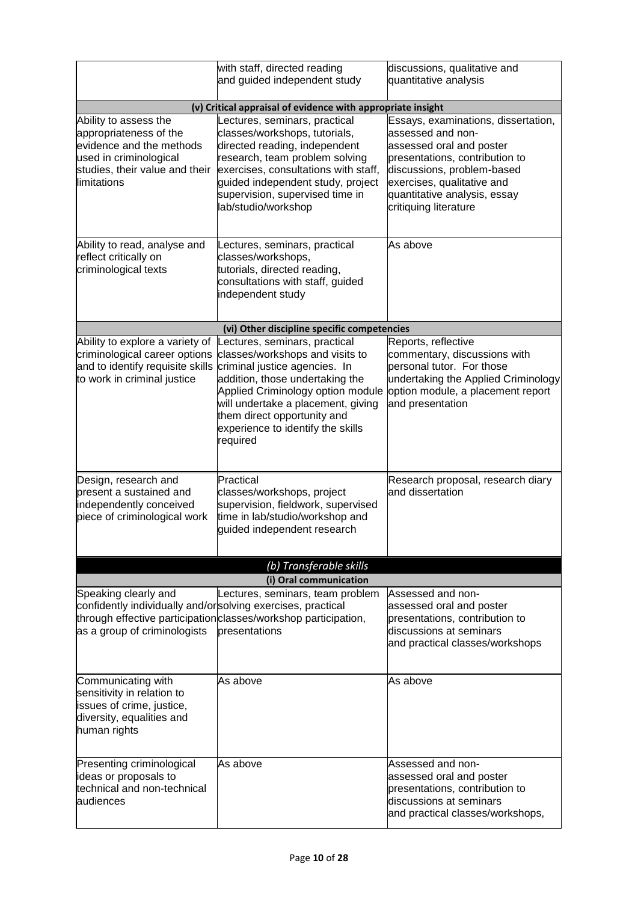|                                                                                                                                                        | with staff, directed reading<br>and guided independent study                                                                                                                                                                                                                                    | discussions, qualitative and<br>quantitative analysis                                                                                                                                                                                       |
|--------------------------------------------------------------------------------------------------------------------------------------------------------|-------------------------------------------------------------------------------------------------------------------------------------------------------------------------------------------------------------------------------------------------------------------------------------------------|---------------------------------------------------------------------------------------------------------------------------------------------------------------------------------------------------------------------------------------------|
|                                                                                                                                                        | (v) Critical appraisal of evidence with appropriate insight                                                                                                                                                                                                                                     |                                                                                                                                                                                                                                             |
| Ability to assess the<br>appropriateness of the<br>evidence and the methods<br>used in criminological<br>studies, their value and their<br>limitations | Lectures, seminars, practical<br>classes/workshops, tutorials,<br>directed reading, independent<br>research, team problem solving<br>exercises, consultations with staff,<br>guided independent study, project<br>supervision, supervised time in<br>lab/studio/workshop                        | Essays, examinations, dissertation,<br>assessed and non-<br>assessed oral and poster<br>presentations, contribution to<br>discussions, problem-based<br>exercises, qualitative and<br>quantitative analysis, essay<br>critiquing literature |
| Ability to read, analyse and<br>reflect critically on<br>criminological texts                                                                          | Lectures, seminars, practical<br>classes/workshops,<br>tutorials, directed reading,<br>consultations with staff, guided<br>independent study                                                                                                                                                    | As above                                                                                                                                                                                                                                    |
|                                                                                                                                                        | (vi) Other discipline specific competencies                                                                                                                                                                                                                                                     |                                                                                                                                                                                                                                             |
| Ability to explore a variety of<br>criminological career options<br>and to identify requisite skills<br>to work in criminal justice                    | Lectures, seminars, practical<br>classes/workshops and visits to<br>criminal justice agencies. In<br>addition, those undertaking the<br>Applied Criminology option module<br>will undertake a placement, giving<br>them direct opportunity and<br>experience to identify the skills<br>required | Reports, reflective<br>commentary, discussions with<br>personal tutor. For those<br>undertaking the Applied Criminology<br>option module, a placement report<br>and presentation                                                            |
| Design, research and<br>present a sustained and<br>independently conceived<br>piece of criminological work                                             | Practical<br>classes/workshops, project<br>supervision, fieldwork, supervised<br>time in lab/studio/workshop and<br>guided independent research                                                                                                                                                 | Research proposal, research diary<br>and dissertation                                                                                                                                                                                       |
|                                                                                                                                                        | (b) Transferable skills                                                                                                                                                                                                                                                                         |                                                                                                                                                                                                                                             |
|                                                                                                                                                        | (i) Oral communication                                                                                                                                                                                                                                                                          |                                                                                                                                                                                                                                             |
| Speaking clearly and<br>confidently individually and/orsolving exercises, practical<br>as a group of criminologists                                    | Lectures, seminars, team problem<br>through effective participation classes/workshop participation,<br>presentations                                                                                                                                                                            | Assessed and non-<br>assessed oral and poster<br>presentations, contribution to<br>discussions at seminars<br>and practical classes/workshops                                                                                               |
| Communicating with<br>sensitivity in relation to<br>issues of crime, justice,<br>diversity, equalities and<br>human rights                             | As above                                                                                                                                                                                                                                                                                        | As above                                                                                                                                                                                                                                    |
| Presenting criminological<br>ideas or proposals to<br>technical and non-technical<br>audiences                                                         | As above                                                                                                                                                                                                                                                                                        | Assessed and non-<br>assessed oral and poster<br>presentations, contribution to<br>discussions at seminars<br>and practical classes/workshops,                                                                                              |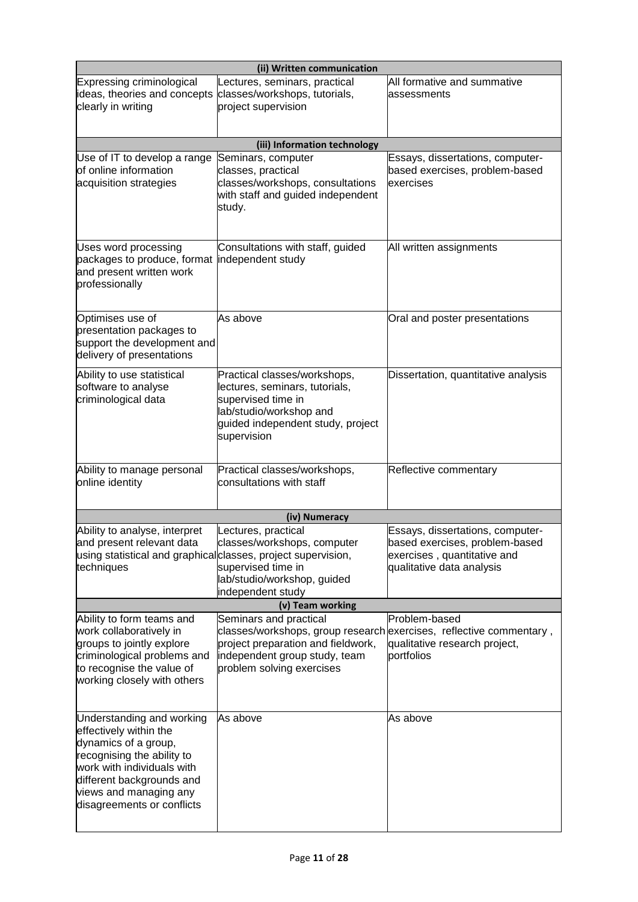| (ii) Written communication                                                                                                                                                                                                   |                                                                                                                                                                                                   |                                                                                                                                |  |
|------------------------------------------------------------------------------------------------------------------------------------------------------------------------------------------------------------------------------|---------------------------------------------------------------------------------------------------------------------------------------------------------------------------------------------------|--------------------------------------------------------------------------------------------------------------------------------|--|
| Expressing criminological<br>ideas, theories and concepts<br>clearly in writing                                                                                                                                              | Lectures, seminars, practical<br>classes/workshops, tutorials,<br>project supervision                                                                                                             | All formative and summative<br>assessments                                                                                     |  |
|                                                                                                                                                                                                                              | (iii) Information technology                                                                                                                                                                      |                                                                                                                                |  |
| Use of IT to develop a range<br>of online information<br>acquisition strategies                                                                                                                                              | Seminars, computer<br>classes, practical<br>classes/workshops, consultations<br>with staff and guided independent<br>study.                                                                       | Essays, dissertations, computer-<br>based exercises, problem-based<br>exercises                                                |  |
| Uses word processing<br>packages to produce, format<br>and present written work<br>professionally                                                                                                                            | Consultations with staff, guided<br>independent study                                                                                                                                             | All written assignments                                                                                                        |  |
| Optimises use of<br>presentation packages to<br>support the development and<br>delivery of presentations                                                                                                                     | As above                                                                                                                                                                                          | Oral and poster presentations                                                                                                  |  |
| Ability to use statistical<br>software to analyse<br>criminological data                                                                                                                                                     | Practical classes/workshops,<br>lectures, seminars, tutorials,<br>supervised time in<br>lab/studio/workshop and<br>guided independent study, project<br>supervision                               | Dissertation, quantitative analysis                                                                                            |  |
| Ability to manage personal<br>online identity                                                                                                                                                                                | Practical classes/workshops,<br>consultations with staff                                                                                                                                          | Reflective commentary                                                                                                          |  |
|                                                                                                                                                                                                                              | (iv) Numeracy                                                                                                                                                                                     |                                                                                                                                |  |
| Ability to analyse, interpret<br>and present relevant data<br>using statistical and graphical classes, project supervision,<br>techniques                                                                                    | Lectures, practical<br>classes/workshops, computer<br>supervised time in<br>lab/studio/workshop, guided<br>independent study                                                                      | Essays, dissertations, computer-<br>based exercises, problem-based<br>exercises, quantitative and<br>qualitative data analysis |  |
|                                                                                                                                                                                                                              | (v) Team working                                                                                                                                                                                  |                                                                                                                                |  |
| Ability to form teams and<br>work collaboratively in<br>groups to jointly explore<br>criminological problems and<br>to recognise the value of<br>working closely with others                                                 | Seminars and practical<br>classes/workshops, group research exercises, reflective commentary,<br>project preparation and fieldwork,<br>independent group study, team<br>problem solving exercises | Problem-based<br>qualitative research project,<br>portfolios                                                                   |  |
| Understanding and working<br>effectively within the<br>dynamics of a group,<br>recognising the ability to<br>work with individuals with<br>different backgrounds and<br>views and managing any<br>disagreements or conflicts | As above                                                                                                                                                                                          | As above                                                                                                                       |  |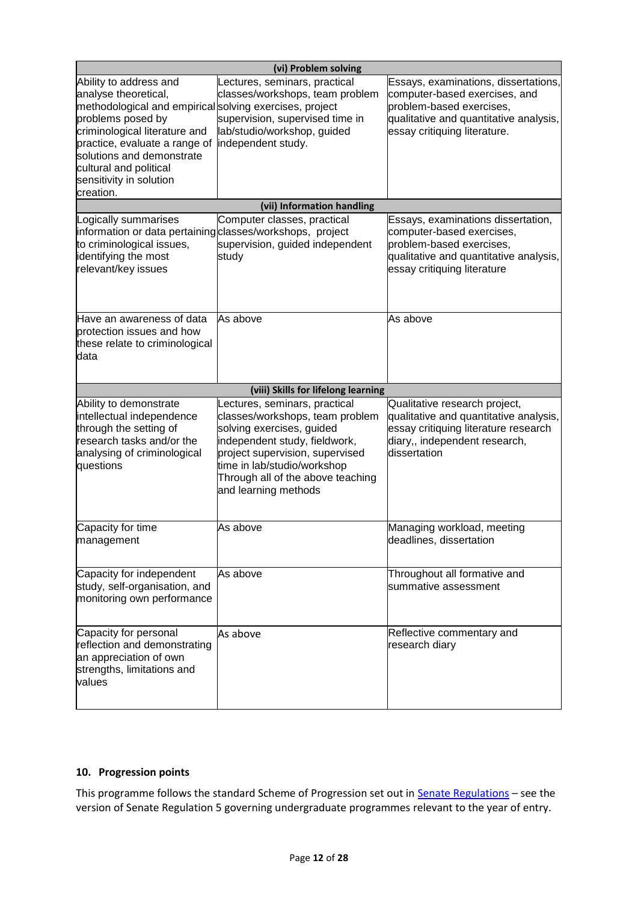|                                                                                                                                                                                                                                                                                                 | (vi) Problem solving                                                                                                                                                                                                                                          |                                                                                                                                                                             |  |  |
|-------------------------------------------------------------------------------------------------------------------------------------------------------------------------------------------------------------------------------------------------------------------------------------------------|---------------------------------------------------------------------------------------------------------------------------------------------------------------------------------------------------------------------------------------------------------------|-----------------------------------------------------------------------------------------------------------------------------------------------------------------------------|--|--|
| Ability to address and<br>analyse theoretical,<br>methodological and empirical solving exercises, project<br>problems posed by<br>criminological literature and<br>practice, evaluate a range of<br>solutions and demonstrate<br>cultural and political<br>sensitivity in solution<br>creation. | Lectures, seminars, practical<br>classes/workshops, team problem<br>supervision, supervised time in<br>lab/studio/workshop, guided<br>independent study.                                                                                                      | Essays, examinations, dissertations,<br>computer-based exercises, and<br>problem-based exercises,<br>qualitative and quantitative analysis,<br>essay critiquing literature. |  |  |
|                                                                                                                                                                                                                                                                                                 | (vii) Information handling                                                                                                                                                                                                                                    |                                                                                                                                                                             |  |  |
| Logically summarises<br>information or data pertaining classes/workshops, project<br>to criminological issues,<br>identifying the most<br>relevant/key issues                                                                                                                                   | Computer classes, practical<br>supervision, guided independent<br>study                                                                                                                                                                                       | Essays, examinations dissertation,<br>computer-based exercises,<br>problem-based exercises,<br>qualitative and quantitative analysis,<br>essay critiquing literature        |  |  |
| Have an awareness of data<br>protection issues and how<br>these relate to criminological<br>data                                                                                                                                                                                                | As above                                                                                                                                                                                                                                                      | As above                                                                                                                                                                    |  |  |
|                                                                                                                                                                                                                                                                                                 | (viii) Skills for lifelong learning                                                                                                                                                                                                                           |                                                                                                                                                                             |  |  |
| Ability to demonstrate<br>intellectual independence<br>through the setting of<br>research tasks and/or the<br>analysing of criminological<br>questions                                                                                                                                          | Lectures, seminars, practical<br>classes/workshops, team problem<br>solving exercises, guided<br>independent study, fieldwork,<br>project supervision, supervised<br>time in lab/studio/workshop<br>Through all of the above teaching<br>and learning methods | Qualitative research project,<br>qualitative and quantitative analysis,<br>essay critiquing literature research<br>diary,, independent research,<br>dissertation            |  |  |
| Capacity for time<br>management                                                                                                                                                                                                                                                                 | As above                                                                                                                                                                                                                                                      | Managing workload, meeting<br>deadlines, dissertation                                                                                                                       |  |  |
| Capacity for independent<br>study, self-organisation, and<br>monitoring own performance                                                                                                                                                                                                         | As above                                                                                                                                                                                                                                                      | Throughout all formative and<br>summative assessment                                                                                                                        |  |  |
| Capacity for personal<br>reflection and demonstrating<br>an appreciation of own<br>strengths, limitations and<br>values                                                                                                                                                                         | As above                                                                                                                                                                                                                                                      | Reflective commentary and<br>research diary                                                                                                                                 |  |  |

# **10. Progression points**

This programme follows the standard Scheme of Progression set out in **Senate Regulations** - see the version of Senate Regulation 5 governing undergraduate programmes relevant to the year of entry.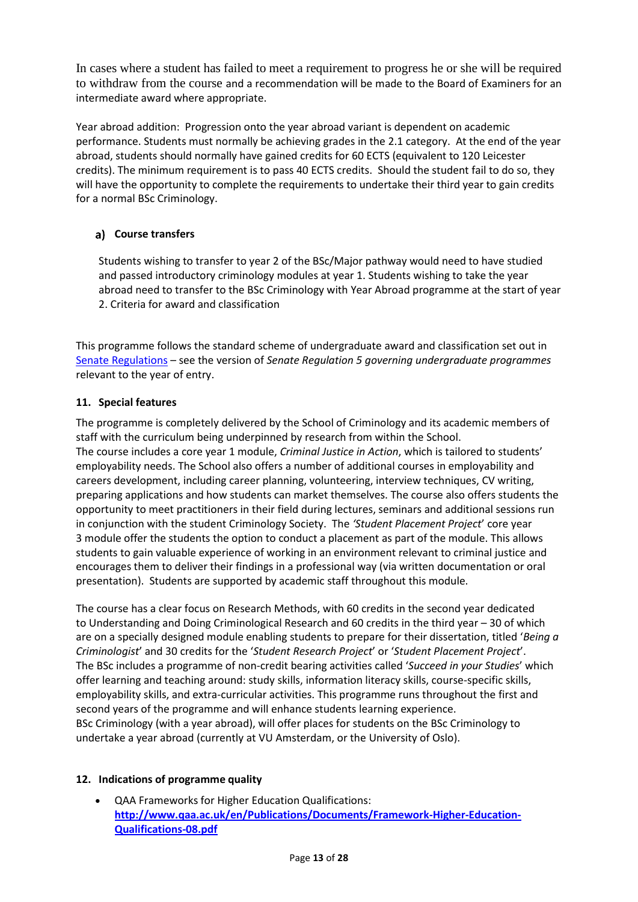In cases where a student has failed to meet a requirement to progress he or she will be required to withdraw from the course and a recommendation will be made to the Board of Examiners for an intermediate award where appropriate.

Year abroad addition: Progression onto the year abroad variant is dependent on academic performance. Students must normally be achieving grades in the 2.1 category. At the end of the year abroad, students should normally have gained credits for 60 ECTS (equivalent to 120 Leicester credits). The minimum requirement is to pass 40 ECTS credits. Should the student fail to do so, they will have the opportunity to complete the requirements to undertake their third year to gain credits for a normal BSc Criminology.

## **Course transfers**

Students wishing to transfer to year 2 of the BSc/Major pathway would need to have studied and passed introductory criminology modules at year 1. Students wishing to take the year abroad need to transfer to the BSc Criminology with Year Abroad programme at the start of year 2. Criteria for award and classification

This programme follows the standard scheme of undergraduate award and classification set out in [Senate Regulations](http://www.le.ac.uk/senate-regulations) – see the version of *Senate Regulation 5 governing undergraduate programmes* relevant to the year of entry.

#### **11. Special features**

The programme is completely delivered by the School of Criminology and its academic members of staff with the curriculum being underpinned by research from within the School. The course includes a core year 1 module, *Criminal Justice in Action*, which is tailored to students' employability needs. The School also offers a number of additional courses in employability and careers development, including career planning, volunteering, interview techniques, CV writing, preparing applications and how students can market themselves. The course also offers students the opportunity to meet practitioners in their field during lectures, seminars and additional sessions run in conjunction with the student Criminology Society. The *'Student Placement Project*' core year 3 module offer the students the option to conduct a placement as part of the module. This allows students to gain valuable experience of working in an environment relevant to criminal justice and encourages them to deliver their findings in a professional way (via written documentation or oral presentation). Students are supported by academic staff throughout this module.

The course has a clear focus on Research Methods, with 60 credits in the second year dedicated to Understanding and Doing Criminological Research and 60 credits in the third year – 30 of which are on a specially designed module enabling students to prepare for their dissertation, titled '*Being a Criminologist*' and 30 credits for the '*Student Research Project*' or '*Student Placement Project*'. The BSc includes a programme of non-credit bearing activities called '*Succeed in your Studies*' which offer learning and teaching around: study skills, information literacy skills, course-specific skills, employability skills, and extra-curricular activities. This programme runs throughout the first and second years of the programme and will enhance students learning experience. BSc Criminology (with a year abroad), will offer places for students on the BSc Criminology to undertake a year abroad (currently at VU Amsterdam, or the University of Oslo).

#### **12. Indications of programme quality**

 QAA Frameworks for Higher Education Qualifications: **[http://www.qaa.ac.uk/en/Publications/Documents/Framework-Higher-Education-](http://www.qaa.ac.uk/en/Publications/Documents/Framework-Higher-Education-Qualifications-08.pdf)[Qualifications-08.pdf](http://www.qaa.ac.uk/en/Publications/Documents/Framework-Higher-Education-Qualifications-08.pdf)**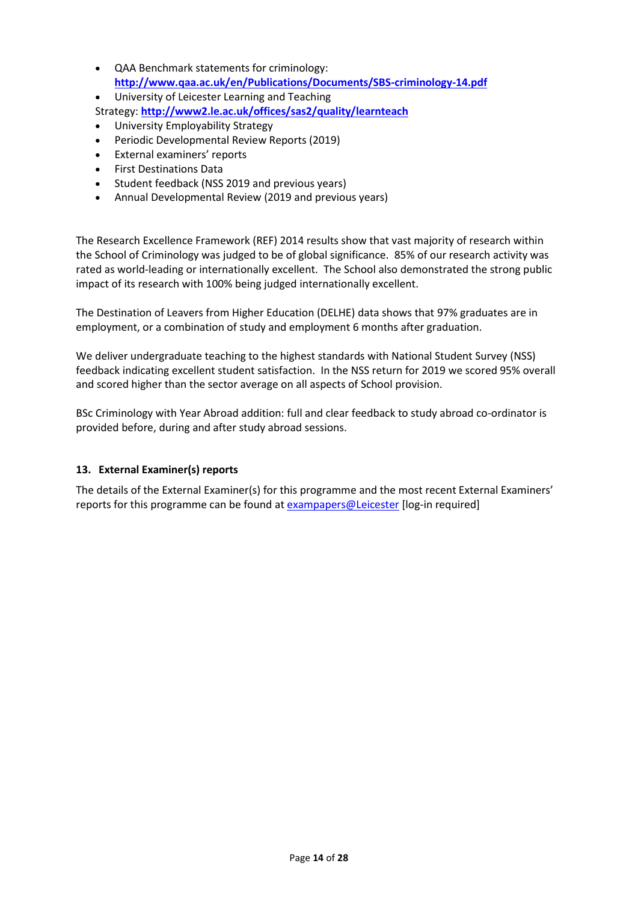- QAA Benchmark statements for criminology: **<http://www.qaa.ac.uk/en/Publications/Documents/SBS-criminology-14.pdf>**
- University of Leicester Learning and Teaching
- Strategy: **<http://www2.le.ac.uk/offices/sas2/quality/learnteach>**
- University Employability Strategy
- Periodic Developmental Review Reports (2019)
- External examiners' reports
- First Destinations Data
- Student feedback (NSS 2019 and previous years)
- Annual Developmental Review (2019 and previous years)

The Research Excellence Framework (REF) 2014 results show that vast majority of research within the School of Criminology was judged to be of global significance. 85% of our research activity was rated as world-leading or internationally excellent. The School also demonstrated the strong public impact of its research with 100% being judged internationally excellent.

The Destination of Leavers from Higher Education (DELHE) data shows that 97% graduates are in employment, or a combination of study and employment 6 months after graduation.

We deliver undergraduate teaching to the highest standards with National Student Survey (NSS) feedback indicating excellent student satisfaction. In the NSS return for 2019 we scored 95% overall and scored higher than the sector average on all aspects of School provision.

BSc Criminology with Year Abroad addition: full and clear feedback to study abroad co-ordinator is provided before, during and after study abroad sessions.

#### **13. External Examiner(s) reports**

The details of the External Examiner(s) for this programme and the most recent External Examiners' reports for this programme can be found at [exampapers@Leicester](https://exampapers.le.ac.uk/) [log-in required]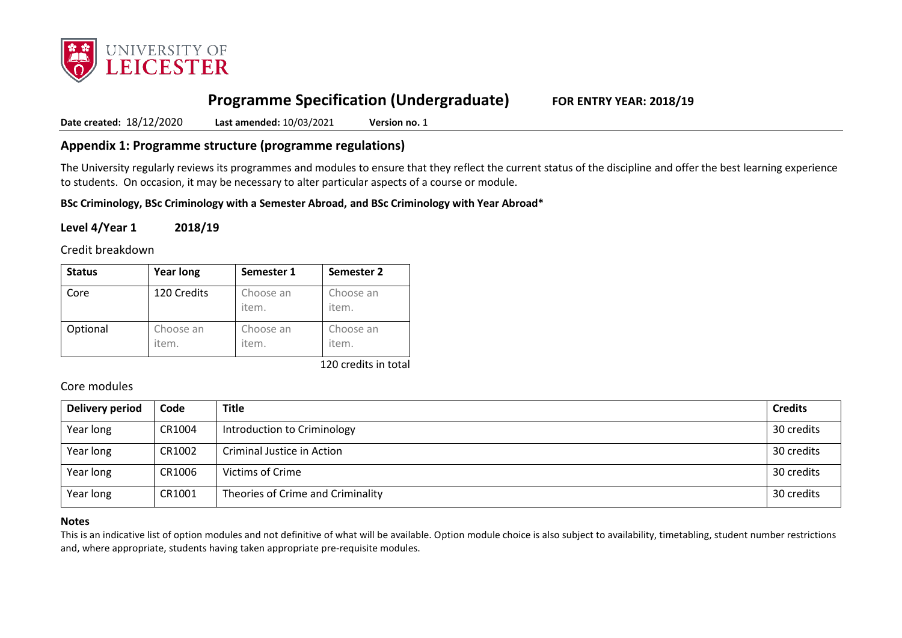

# **Programme Specification (Undergraduate) FOR ENTRY YEAR: 2018/19**

**Date created:** 18/12/2020 **Last amended:** 10/03/2021 **Version no.** 1

## **Appendix 1: Programme structure (programme regulations)**

The University regularly reviews its programmes and modules to ensure that they reflect the current status of the discipline and offer the best learning experience to students. On occasion, it may be necessary to alter particular aspects of a course or module.

**BSc Criminology, BSc Criminology with a Semester Abroad, and BSc Criminology with Year Abroad\***

## **Level 4/Year 1 2018/19**

Credit breakdown

| <b>Status</b> | <b>Year long</b>   | Semester 1         | Semester 2         |
|---------------|--------------------|--------------------|--------------------|
| Core          | 120 Credits        | Choose an<br>item. | Choose an<br>item. |
| Optional      | Choose an<br>item. | Choose an<br>item. | Choose an<br>item. |

120 credits in total

## Core modules

| <b>Delivery period</b> | Code   | <b>Title</b>                      | <b>Credits</b> |
|------------------------|--------|-----------------------------------|----------------|
| Year long              | CR1004 | Introduction to Criminology       | 30 credits     |
| Year long              | CR1002 | Criminal Justice in Action        | 30 credits     |
| Year long              | CR1006 | Victims of Crime                  | 30 credits     |
| Year long              | CR1001 | Theories of Crime and Criminality | 30 credits     |

#### **Notes**

This is an indicative list of option modules and not definitive of what will be available. Option module choice is also subject to availability, timetabling, student number restrictions and, where appropriate, students having taken appropriate pre-requisite modules.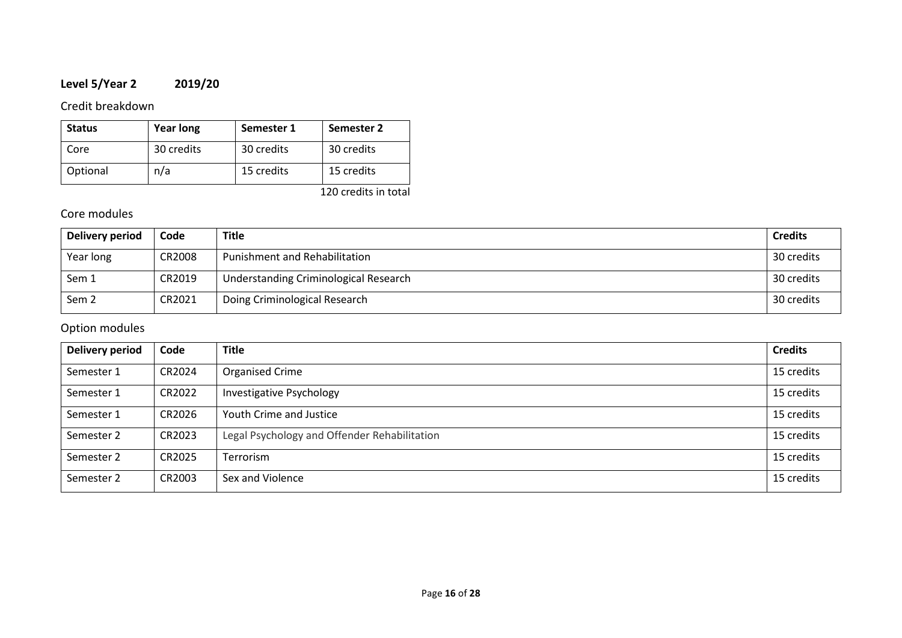# **Level 5/Year 2 2019/20**

# Credit breakdown

| <b>Status</b> | <b>Year long</b> | Semester 1 | Semester 2 |
|---------------|------------------|------------|------------|
| Core          | 30 credits       | 30 credits | 30 credits |
| Optional      | n/a              | 15 credits | 15 credits |

120 credits in total

# Core modules

| Delivery period  | Code   | <b>Title</b>                          | <b>Credits</b> |
|------------------|--------|---------------------------------------|----------------|
| Year long        | CR2008 | Punishment and Rehabilitation         | 30 credits     |
| Sem 1            | CR2019 | Understanding Criminological Research | 30 credits     |
| Sem <sub>2</sub> | CR2021 | Doing Criminological Research         | 30 credits     |

| Delivery period | Code   | <b>Title</b>                                 | <b>Credits</b> |
|-----------------|--------|----------------------------------------------|----------------|
| Semester 1      | CR2024 | Organised Crime                              | 15 credits     |
| Semester 1      | CR2022 | Investigative Psychology                     | 15 credits     |
| Semester 1      | CR2026 | Youth Crime and Justice                      | 15 credits     |
| Semester 2      | CR2023 | Legal Psychology and Offender Rehabilitation | 15 credits     |
| Semester 2      | CR2025 | <b>Terrorism</b>                             | 15 credits     |
| Semester 2      | CR2003 | Sex and Violence                             | 15 credits     |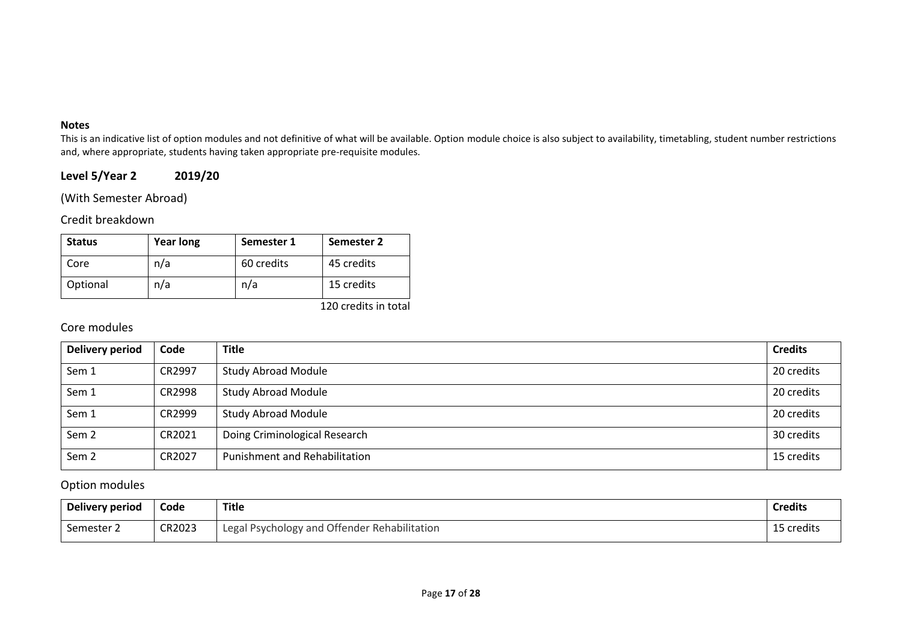#### **Notes**

This is an indicative list of option modules and not definitive of what will be available. Option module choice is also subject to availability, timetabling, student number restrictions and, where appropriate, students having taken appropriate pre-requisite modules.

# **Level 5/Year 2 2019/20**

(With Semester Abroad)

Credit breakdown

| <b>Status</b> | <b>Year long</b> | Semester 1 | Semester 2 |
|---------------|------------------|------------|------------|
| Core          | n/a              | 60 credits | 45 credits |
| Optional      | n/a              | n/a        | 15 credits |

120 credits in total

# Core modules

| Delivery period  | Code   | <b>Title</b>                         | <b>Credits</b> |
|------------------|--------|--------------------------------------|----------------|
| Sem 1            | CR2997 | <b>Study Abroad Module</b>           | 20 credits     |
| Sem 1            | CR2998 | <b>Study Abroad Module</b>           | 20 credits     |
| Sem 1            | CR2999 | <b>Study Abroad Module</b>           | 20 credits     |
| Sem <sub>2</sub> | CR2021 | Doing Criminological Research        | 30 credits     |
| Sem <sub>2</sub> | CR2027 | <b>Punishment and Rehabilitation</b> | 15 credits     |

| <b>Delivery period</b> | Code   | <b>Title</b>                                 | <b>Credits</b> |
|------------------------|--------|----------------------------------------------|----------------|
| Semester 2             | CR2023 | Legal Psychology and Offender Rehabilitation | 15 credits     |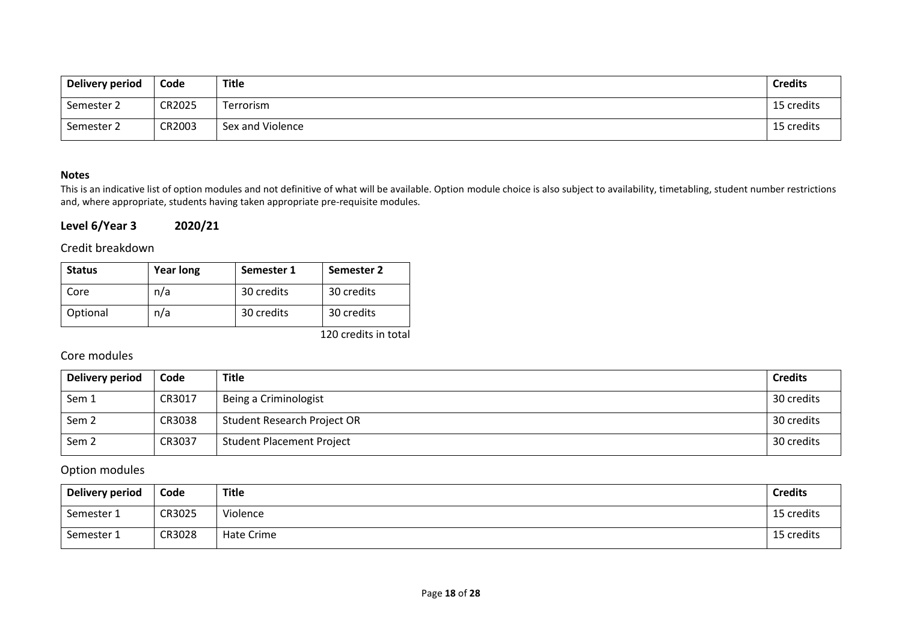| Delivery period | Code   | Title            | <b>Credits</b> |
|-----------------|--------|------------------|----------------|
| Semester 2      | CR2025 | Terrorism        | 15 credits     |
| Semester 2      | CR2003 | Sex and Violence | 15 credits     |

#### **Notes**

This is an indicative list of option modules and not definitive of what will be available. Option module choice is also subject to availability, timetabling, student number restrictions and, where appropriate, students having taken appropriate pre-requisite modules.

## **Level 6/Year 3 2020/21**

## Credit breakdown

| <b>Status</b> | <b>Year long</b> | Semester 1 | Semester 2 |
|---------------|------------------|------------|------------|
| Core          | n/a              | 30 credits | 30 credits |
| Optional      | n/a              | 30 credits | 30 credits |

120 credits in total

## Core modules

| Delivery period  | Code   | <b>Title</b>                     | <b>Credits</b> |
|------------------|--------|----------------------------------|----------------|
| Sem 1            | CR3017 | Being a Criminologist            | 30 credits     |
| Sem <sub>2</sub> | CR3038 | Student Research Project OR      | 30 credits     |
| Sem <sub>2</sub> | CR3037 | <b>Student Placement Project</b> | 30 credits     |

| Delivery period | Code   | Title      | <b>Credits</b> |
|-----------------|--------|------------|----------------|
| Semester 1      | CR3025 | Violence   | 15 credits     |
| Semester 1      | CR3028 | Hate Crime | 15 credits     |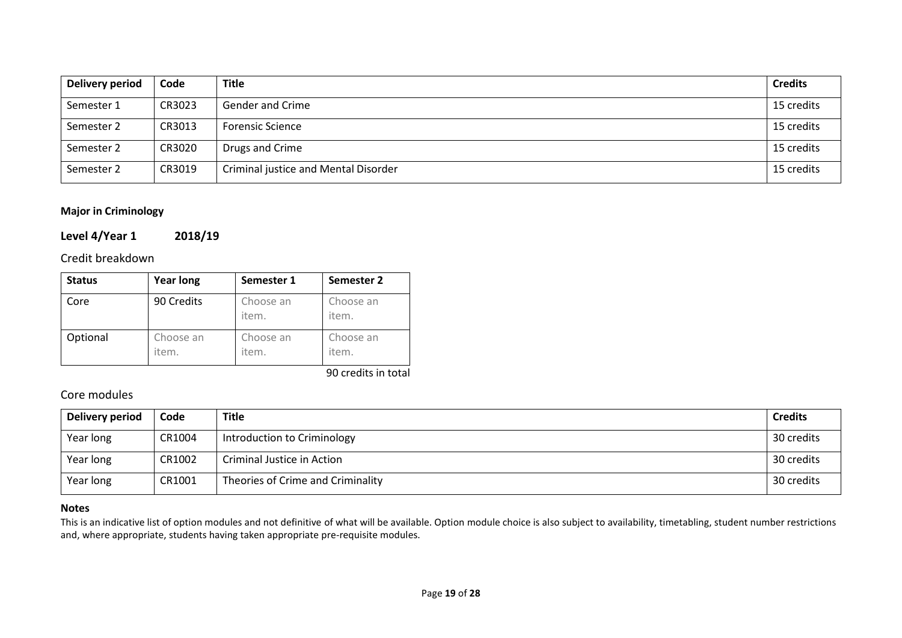| Delivery period | Code   | <b>Title</b>                         | <b>Credits</b> |
|-----------------|--------|--------------------------------------|----------------|
| Semester 1      | CR3023 | Gender and Crime                     | 15 credits     |
| Semester 2      | CR3013 | <b>Forensic Science</b>              | 15 credits     |
| Semester 2      | CR3020 | Drugs and Crime                      | 15 credits     |
| Semester 2      | CR3019 | Criminal justice and Mental Disorder | 15 credits     |

#### **Major in Criminology**

#### **Level 4/Year 1 2018/19**

Credit breakdown

| <b>Status</b> | <b>Year long</b>   | Semester 1         | Semester 2         |
|---------------|--------------------|--------------------|--------------------|
| Core          | 90 Credits         | Choose an<br>item. | Choose an<br>item. |
| Optional      | Choose an<br>item. | Choose an<br>item. | Choose an<br>item. |

90 credits in total

## Core modules

| <b>Delivery period</b> | Code   | <b>Title</b>                      | <b>Credits</b> |
|------------------------|--------|-----------------------------------|----------------|
| Year long              | CR1004 | Introduction to Criminology       | 30 credits     |
| Year long              | CR1002 | Criminal Justice in Action        | 30 credits     |
| Year long              | CR1001 | Theories of Crime and Criminality | 30 credits     |

#### **Notes**

This is an indicative list of option modules and not definitive of what will be available. Option module choice is also subject to availability, timetabling, student number restrictions and, where appropriate, students having taken appropriate pre-requisite modules.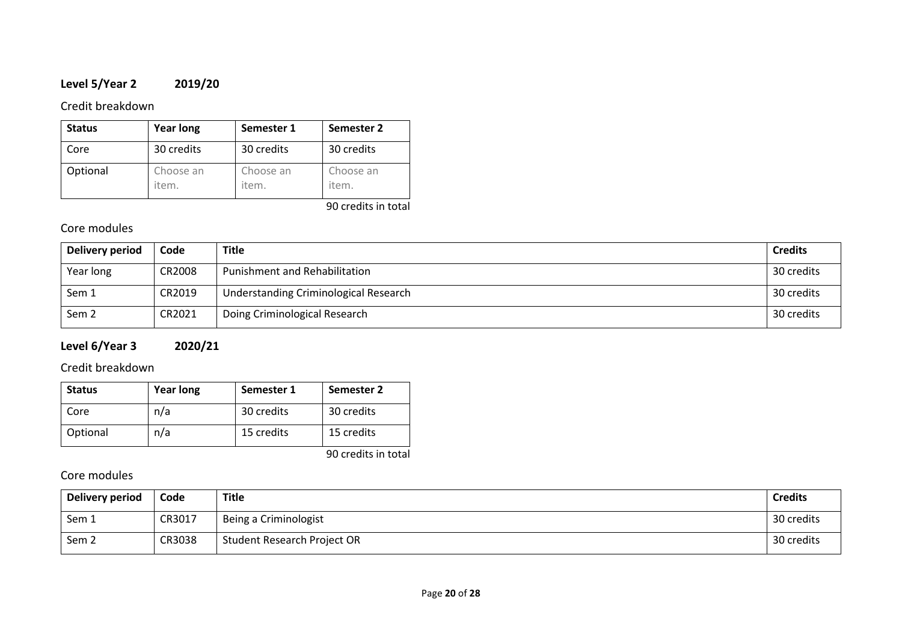# **Level 5/Year 2 2019/20**

## Credit breakdown

| <b>Status</b> | <b>Year long</b>   | Semester 1         | Semester 2         |
|---------------|--------------------|--------------------|--------------------|
| Core          | 30 credits         | 30 credits         | 30 credits         |
| Optional      | Choose an<br>item. | Choose an<br>item. | Choose an<br>item. |

90 credits in total

# Core modules

| Delivery period  | Code   | <b>Title</b>                          | <b>Credits</b> |
|------------------|--------|---------------------------------------|----------------|
| Year long        | CR2008 | <b>Punishment and Rehabilitation</b>  | 30 credits     |
| Sem 1            | CR2019 | Understanding Criminological Research | 30 credits     |
| Sem <sub>2</sub> | CR2021 | Doing Criminological Research         | 30 credits     |

# **Level 6/Year 3 2020/21**

# Credit breakdown

| <b>Status</b> | <b>Year long</b> | Semester 1 | Semester 2 |
|---------------|------------------|------------|------------|
| Core          | n/a              | 30 credits | 30 credits |
| Optional      | n/a              | 15 credits | 15 credits |

90 credits in total

# Core modules

| <b>Delivery period</b> | Code   | Title                       | <b>Credits</b> |
|------------------------|--------|-----------------------------|----------------|
| Sem 1                  | CR3017 | Being a Criminologist       | 30 credits     |
| Sem <sub>2</sub>       | CR3038 | Student Research Project OR | 30 credits     |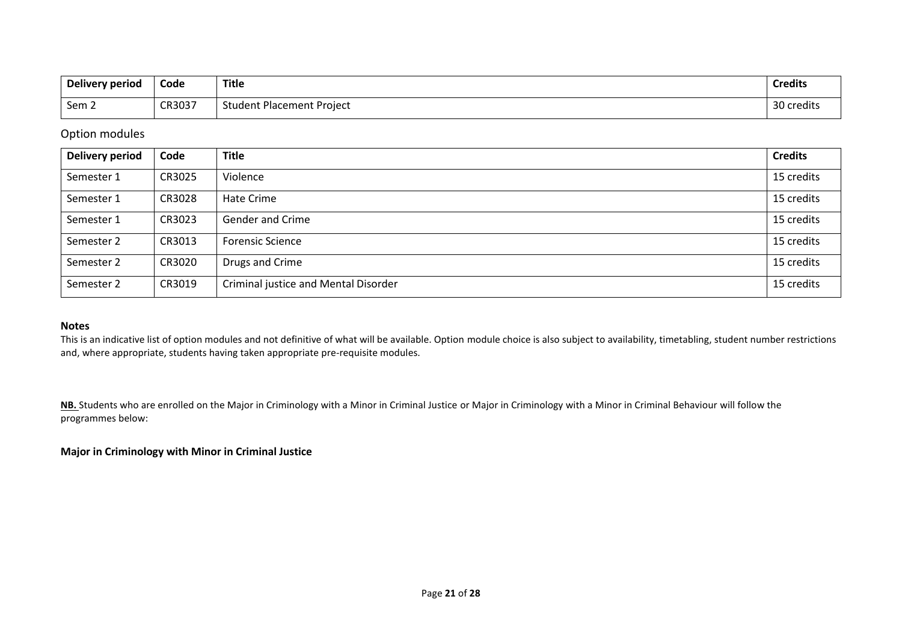| Delivery period | Code   | Title                            | <b>Credits</b>  |
|-----------------|--------|----------------------------------|-----------------|
| Sem 2           | CR3037 | <b>Student Placement Project</b> | 30<br>) credits |

## Option modules

| <b>Delivery period</b> | Code   | <b>Title</b>                         | <b>Credits</b> |
|------------------------|--------|--------------------------------------|----------------|
| Semester 1             | CR3025 | Violence                             | 15 credits     |
| Semester 1             | CR3028 | Hate Crime                           | 15 credits     |
| Semester 1             | CR3023 | <b>Gender and Crime</b>              | 15 credits     |
| Semester 2             | CR3013 | <b>Forensic Science</b>              | 15 credits     |
| Semester 2             | CR3020 | Drugs and Crime                      | 15 credits     |
| Semester 2             | CR3019 | Criminal justice and Mental Disorder | 15 credits     |

#### **Notes**

This is an indicative list of option modules and not definitive of what will be available. Option module choice is also subject to availability, timetabling, student number restrictions and, where appropriate, students having taken appropriate pre-requisite modules.

NB. Students who are enrolled on the Major in Criminology with a Minor in Criminal Justice or Major in Criminology with a Minor in Criminal Behaviour will follow the programmes below:

#### **Major in Criminology with Minor in Criminal Justice**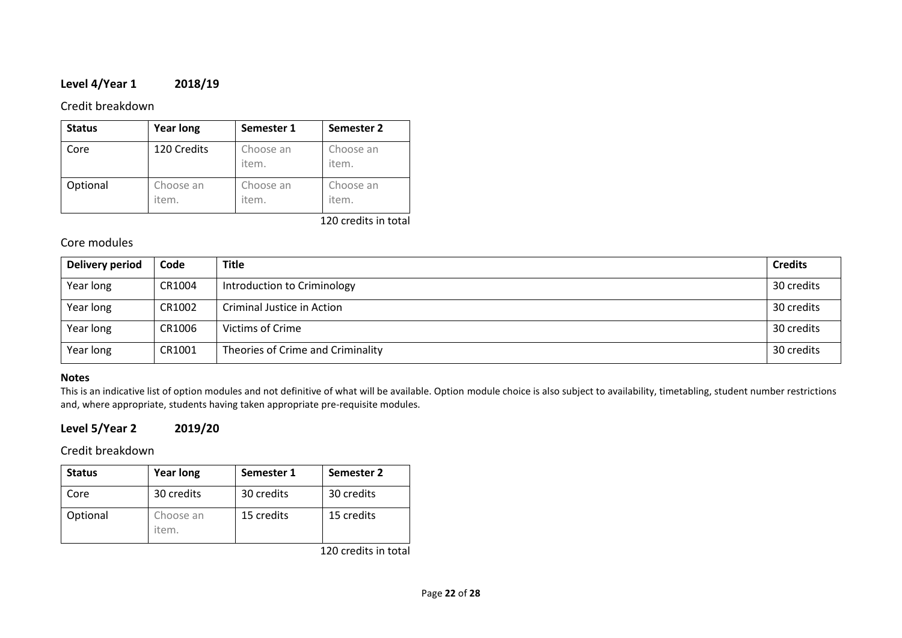# **Level 4/Year 1 2018/19**

## Credit breakdown

| <b>Status</b> | <b>Year long</b>   | Semester 1         | Semester 2           |
|---------------|--------------------|--------------------|----------------------|
| Core          | 120 Credits        | Choose an<br>item. | Choose an<br>item.   |
| Optional      | Choose an<br>item. | Choose an<br>item. | Choose an<br>item.   |
|               |                    |                    | 120 credits in total |

## Core modules

| <b>Delivery period</b> | Code   | <b>Title</b>                      | <b>Credits</b> |
|------------------------|--------|-----------------------------------|----------------|
| Year long              | CR1004 | Introduction to Criminology       | 30 credits     |
| Year long              | CR1002 | Criminal Justice in Action        | 30 credits     |
| Year long              | CR1006 | Victims of Crime                  | 30 credits     |
| Year long              | CR1001 | Theories of Crime and Criminality | 30 credits     |

#### **Notes**

This is an indicative list of option modules and not definitive of what will be available. Option module choice is also subject to availability, timetabling, student number restrictions and, where appropriate, students having taken appropriate pre-requisite modules.

## **Level 5/Year 2 2019/20**

## Credit breakdown

| <b>Status</b> | <b>Year long</b>   | Semester 1 | Semester 2 |
|---------------|--------------------|------------|------------|
| Core          | 30 credits         | 30 credits | 30 credits |
| Optional      | Choose an<br>item. | 15 credits | 15 credits |

120 credits in total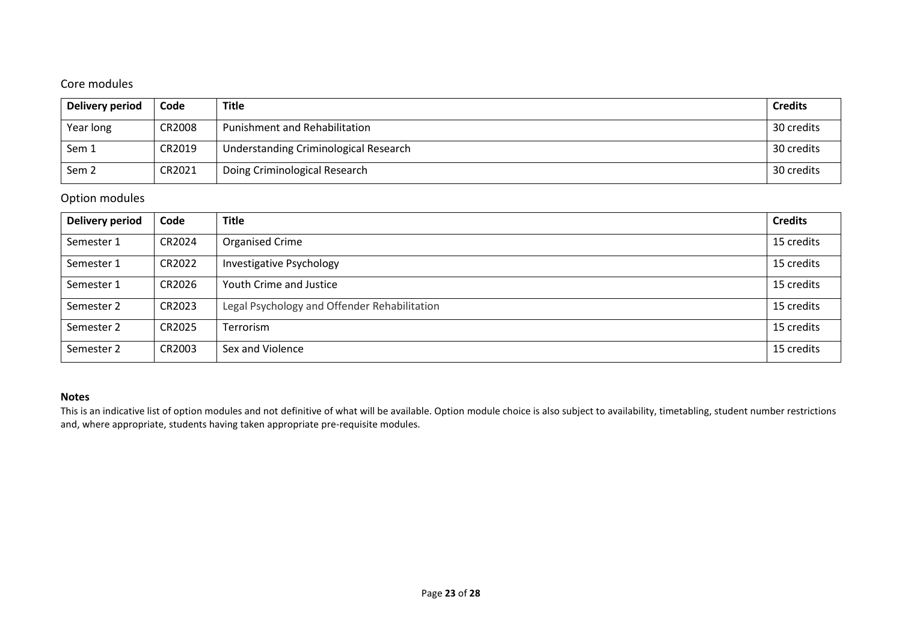# Core modules

| Delivery period  | Code   | <b>Title</b>                          | <b>Credits</b> |
|------------------|--------|---------------------------------------|----------------|
| Year long        | CR2008 | Punishment and Rehabilitation         | 30 credits     |
| Sem 1            | CR2019 | Understanding Criminological Research | 30 credits     |
| Sem <sub>2</sub> | CR2021 | Doing Criminological Research         | 30 credits     |

# Option modules

| Delivery period | Code   | <b>Title</b>                                 | <b>Credits</b> |
|-----------------|--------|----------------------------------------------|----------------|
| Semester 1      | CR2024 | Organised Crime                              | 15 credits     |
| Semester 1      | CR2022 | Investigative Psychology                     | 15 credits     |
| Semester 1      | CR2026 | Youth Crime and Justice                      | 15 credits     |
| Semester 2      | CR2023 | Legal Psychology and Offender Rehabilitation | 15 credits     |
| Semester 2      | CR2025 | Terrorism                                    | 15 credits     |
| Semester 2      | CR2003 | Sex and Violence                             | 15 credits     |

#### **Notes**

This is an indicative list of option modules and not definitive of what will be available. Option module choice is also subject to availability, timetabling, student number restrictions and, where appropriate, students having taken appropriate pre-requisite modules.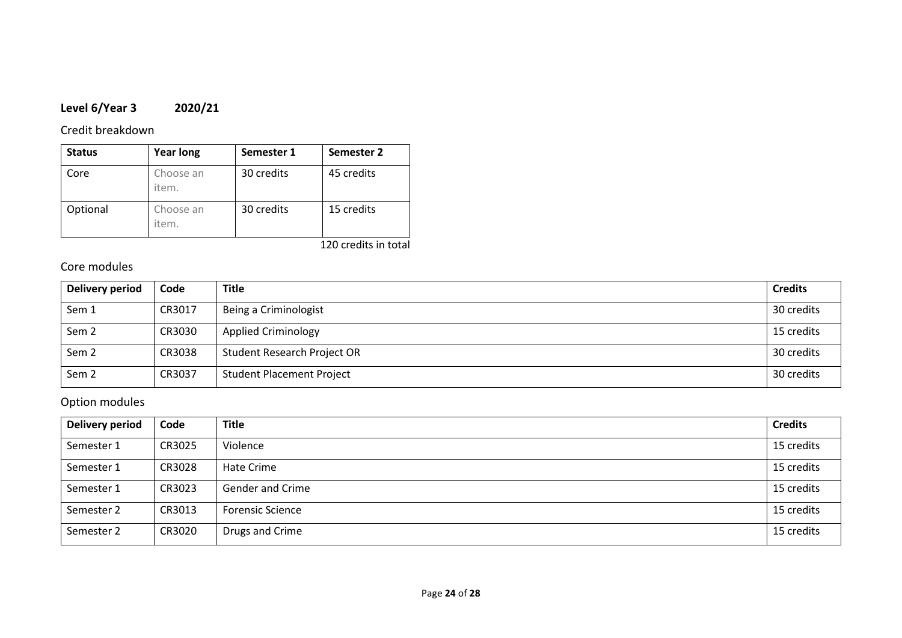# **Level 6/Year 3 2020/21**

Credit breakdown

| <b>Status</b> | <b>Year long</b>   | Semester 1 | Semester 2 |
|---------------|--------------------|------------|------------|
| Core          | Choose an<br>item. | 30 credits | 45 credits |
| Optional      | Choose an<br>item. | 30 credits | 15 credits |

120 credits in total

# Core modules

| Delivery period  | Code   | <b>Title</b>                     | <b>Credits</b> |
|------------------|--------|----------------------------------|----------------|
| Sem 1            | CR3017 | Being a Criminologist            | 30 credits     |
| Sem <sub>2</sub> | CR3030 | <b>Applied Criminology</b>       | 15 credits     |
| Sem <sub>2</sub> | CR3038 | Student Research Project OR      | 30 credits     |
| Sem <sub>2</sub> | CR3037 | <b>Student Placement Project</b> | 30 credits     |

| <b>Delivery period</b> | Code   | <b>Title</b>            | <b>Credits</b> |
|------------------------|--------|-------------------------|----------------|
| Semester 1             | CR3025 | Violence                | 15 credits     |
| Semester 1             | CR3028 | Hate Crime              | 15 credits     |
| Semester 1             | CR3023 | <b>Gender and Crime</b> | 15 credits     |
| Semester 2             | CR3013 | <b>Forensic Science</b> | 15 credits     |
| Semester 2             | CR3020 | Drugs and Crime         | 15 credits     |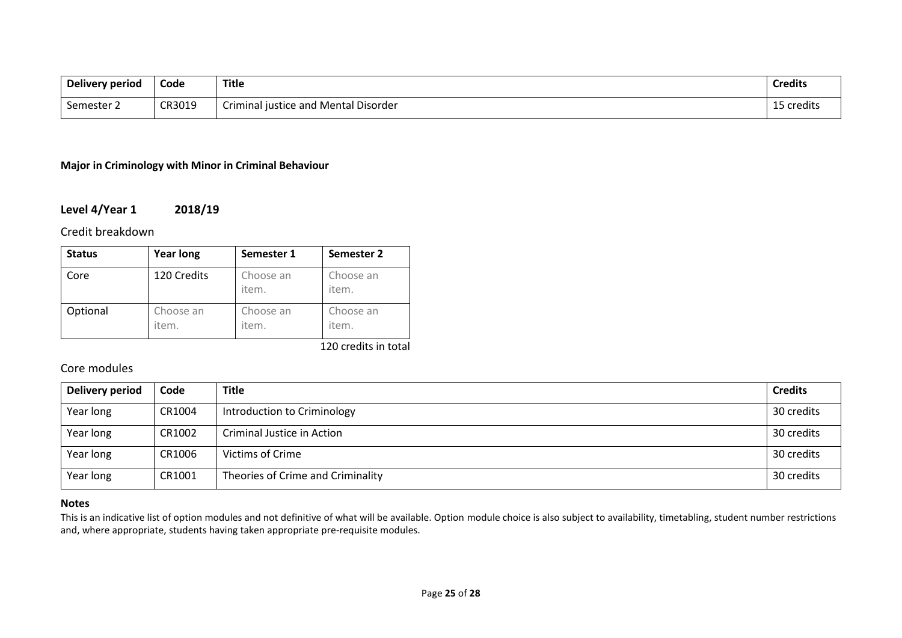| Delivery period | Code   | <b>Title</b>                         | <b>Credits</b> |
|-----------------|--------|--------------------------------------|----------------|
| Semester 2      | CR3019 | Criminal justice and Mental Disorder | 15 credits     |

#### **Major in Criminology with Minor in Criminal Behaviour**

## **Level 4/Year 1 2018/19**

Credit breakdown

| <b>Status</b> | <b>Year long</b>   | Semester 1         | Semester 2         |
|---------------|--------------------|--------------------|--------------------|
| Core          | 120 Credits        | Choose an<br>item. | Choose an<br>item. |
| Optional      | Choose an<br>item. | Choose an<br>item. | Choose an<br>item. |

120 credits in total

## Core modules

| <b>Delivery period</b> | Code   | <b>Title</b>                      | <b>Credits</b> |
|------------------------|--------|-----------------------------------|----------------|
| Year long              | CR1004 | Introduction to Criminology       | 30 credits     |
| Year long              | CR1002 | Criminal Justice in Action        | 30 credits     |
| Year long              | CR1006 | Victims of Crime                  | 30 credits     |
| Year long              | CR1001 | Theories of Crime and Criminality | 30 credits     |

#### **Notes**

This is an indicative list of option modules and not definitive of what will be available. Option module choice is also subject to availability, timetabling, student number restrictions and, where appropriate, students having taken appropriate pre-requisite modules.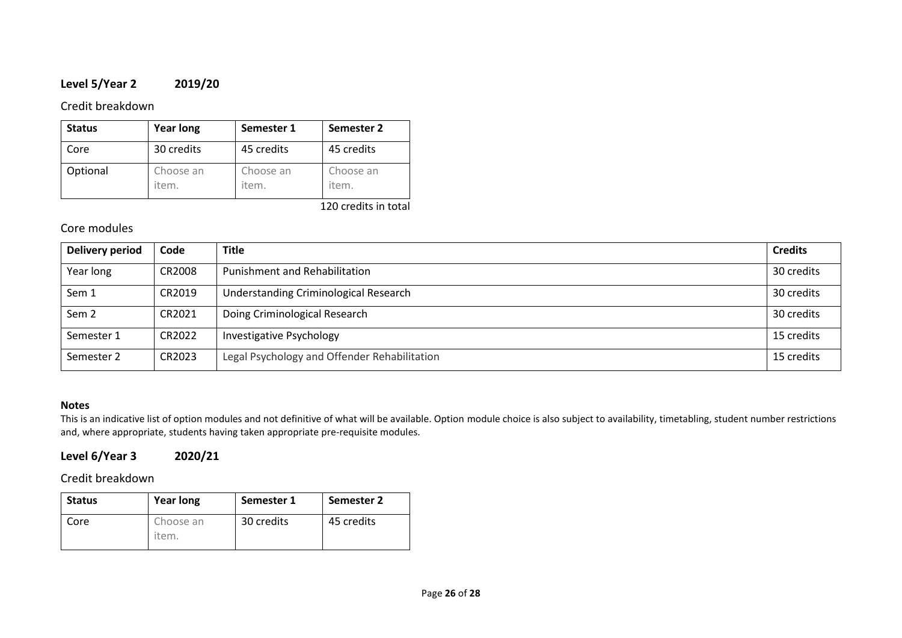# **Level 5/Year 2 2019/20**

## Credit breakdown

| <b>Status</b> | <b>Year long</b>   | Semester 1         | Semester 2         |
|---------------|--------------------|--------------------|--------------------|
| Core          | 30 credits         | 45 credits         | 45 credits         |
| Optional      | Choose an<br>item. | Choose an<br>item. | Choose an<br>item. |

120 credits in total

## Core modules

| Delivery period  | Code   | <b>Title</b>                                 | <b>Credits</b> |
|------------------|--------|----------------------------------------------|----------------|
| Year long        | CR2008 | Punishment and Rehabilitation                | 30 credits     |
| Sem 1            | CR2019 | Understanding Criminological Research        | 30 credits     |
| Sem <sub>2</sub> | CR2021 | Doing Criminological Research                | 30 credits     |
| Semester 1       | CR2022 | Investigative Psychology                     | 15 credits     |
| Semester 2       | CR2023 | Legal Psychology and Offender Rehabilitation | 15 credits     |

#### **Notes**

This is an indicative list of option modules and not definitive of what will be available. Option module choice is also subject to availability, timetabling, student number restrictions and, where appropriate, students having taken appropriate pre-requisite modules.

# **Level 6/Year 3 2020/21**

Credit breakdown

| <b>Status</b> | <b>Year long</b>   | Semester 1 | Semester 2 |
|---------------|--------------------|------------|------------|
| Core          | Choose an<br>item. | 30 credits | 45 credits |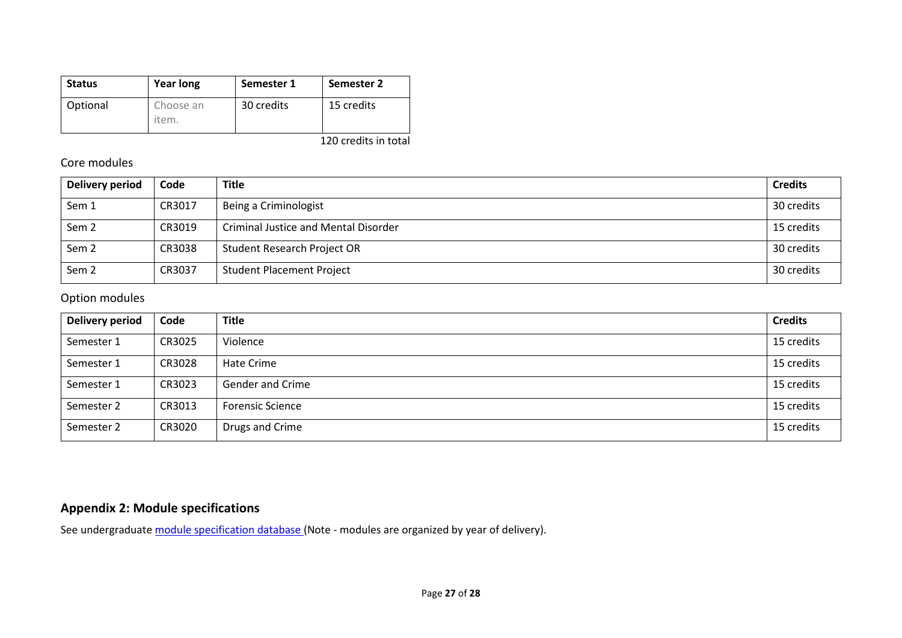| <b>Status</b> | <b>Year long</b>   | Semester 1 | Semester 2 |
|---------------|--------------------|------------|------------|
| Optional      | Choose an<br>item. | 30 credits | 15 credits |

120 credits in total

## Core modules

| Delivery period  | Code   | <b>Title</b>                                | <b>Credits</b> |
|------------------|--------|---------------------------------------------|----------------|
| Sem 1            | CR3017 | Being a Criminologist                       | 30 credits     |
| Sem <sub>2</sub> | CR3019 | <b>Criminal Justice and Mental Disorder</b> | 15 credits     |
| Sem <sub>2</sub> | CR3038 | Student Research Project OR                 | 30 credits     |
| Sem <sub>2</sub> | CR3037 | <b>Student Placement Project</b>            | 30 credits     |

## Option modules

| <b>Delivery period</b> | Code   | <b>Title</b>            | <b>Credits</b> |
|------------------------|--------|-------------------------|----------------|
| Semester 1             | CR3025 | Violence                | 15 credits     |
| Semester 1             | CR3028 | Hate Crime              | 15 credits     |
| Semester 1             | CR3023 | <b>Gender and Crime</b> | 15 credits     |
| Semester 2             | CR3013 | <b>Forensic Science</b> | 15 credits     |
| Semester 2             | CR3020 | Drugs and Crime         | 15 credits     |

# **Appendix 2: Module specifications**

See undergraduat[e module specification database](http://www.le.ac.uk/sas/courses/documentation) (Note - modules are organized by year of delivery).